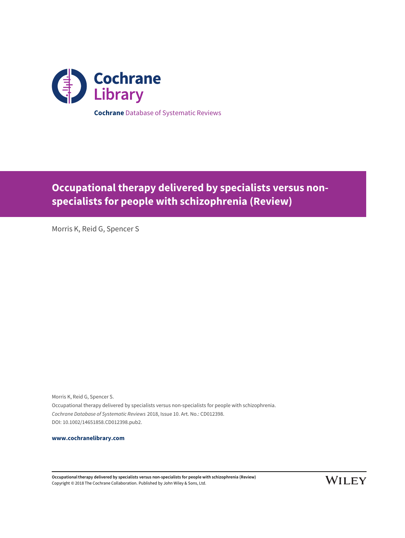

# **Occupational therapy delivered by specialists versus nonspecialists for people with schizophrenia (Review)**

Morris K, Reid G, Spencer S

Morris K, Reid G, Spencer S. Occupational therapy delivered by specialists versus non-specialists for people with schizophrenia. Cochrane Database of Systematic Reviews 2018, Issue 10. Art. No.: CD012398. DOI: 10.1002/14651858.CD012398.pub2.

**[www.cochranelibrary.com](http://www.cochranelibrary.com)**

**Occupational therapy delivered by specialists versus non-specialists for people with schizophrenia (Review)** Copyright © 2018 The Cochrane Collaboration. Published by John Wiley & Sons, Ltd.

**WILEY**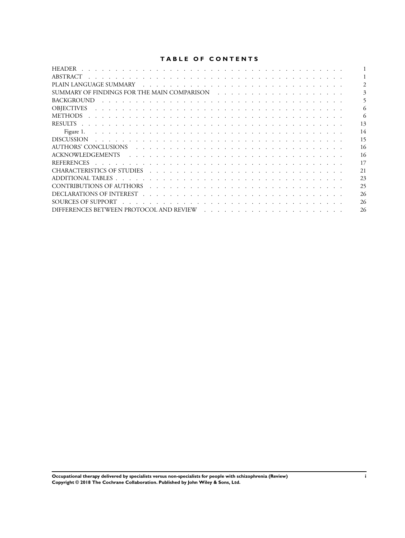# **TABLE OF CONTENTS**

| <b>HEADER</b>                                                                                                                           |    |
|-----------------------------------------------------------------------------------------------------------------------------------------|----|
|                                                                                                                                         |    |
|                                                                                                                                         |    |
|                                                                                                                                         |    |
| <b>BACKGROUND</b>                                                                                                                       |    |
| <b>OBIECTIVES</b><br>a constitution of the constitution of the constitution of the constitution of the constitution of the constitution |    |
|                                                                                                                                         |    |
|                                                                                                                                         | 13 |
| Figure 1.<br>the contract of the contract of the contract of the contract of the contract of the contract of                            | 14 |
| <b>DISCUSSION</b><br>the contract of the contract of the contract of the contract of the contract of the contract of the contract of    | 15 |
|                                                                                                                                         | 16 |
|                                                                                                                                         | 16 |
| <b>REFERENCES</b>                                                                                                                       | 17 |
|                                                                                                                                         | 21 |
|                                                                                                                                         | 23 |
|                                                                                                                                         | 25 |
|                                                                                                                                         | 26 |
|                                                                                                                                         | 26 |
| DIFFERENCES BETWEEN PROTOCOL AND REVIEW                                                                                                 | 26 |

**Occupational therapy delivered by specialists versus non-specialists for people with schizophrenia (Review) i Copyright © 2018 The Cochrane Collaboration. Published by John Wiley & Sons, Ltd.**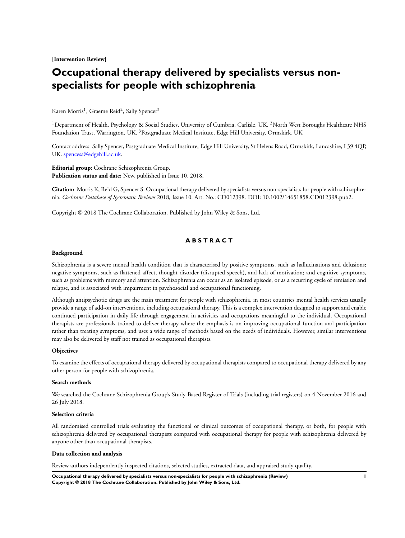**[Intervention Review]**

# **Occupational therapy delivered by specialists versus nonspecialists for people with schizophrenia**

Karen Morris<sup>1</sup>, Graeme Reid<sup>2</sup>, Sally Spencer<sup>3</sup>

<sup>1</sup>Department of Health, Psychology & Social Studies, University of Cumbria, Carlisle, UK. <sup>2</sup>North West Boroughs Healthcare NHS Foundation Trust, Warrington, UK. <sup>3</sup>Postgraduate Medical Institute, Edge Hill University, Ormskirk, UK

Contact address: Sally Spencer, Postgraduate Medical Institute, Edge Hill University, St Helens Road, Ormskirk, Lancashire, L39 4QP, UK. [spencesa@edgehill.ac.uk.](mailto:spencesa@edgehill.ac.uk)

**Editorial group:** Cochrane Schizophrenia Group. **Publication status and date:** New, published in Issue 10, 2018.

**Citation:** Morris K, Reid G, Spencer S. Occupational therapy delivered by specialists versus non-specialists for people with schizophrenia. *Cochrane Database of Systematic Reviews* 2018, Issue 10. Art. No.: CD012398. DOI: 10.1002/14651858.CD012398.pub2.

Copyright © 2018 The Cochrane Collaboration. Published by John Wiley & Sons, Ltd.

## **A B S T R A C T**

#### **Background**

Schizophrenia is a severe mental health condition that is characterised by positive symptoms, such as hallucinations and delusions; negative symptoms, such as flattened affect, thought disorder (disrupted speech), and lack of motivation; and cognitive symptoms, such as problems with memory and attention. Schizophrenia can occur as an isolated episode, or as a recurring cycle of remission and relapse, and is associated with impairment in psychosocial and occupational functioning.

Although antipsychotic drugs are the main treatment for people with schizophrenia, in most countries mental health services usually provide a range of add-on interventions, including occupational therapy. This is a complex intervention designed to support and enable continued participation in daily life through engagement in activities and occupations meaningful to the individual. Occupational therapists are professionals trained to deliver therapy where the emphasis is on improving occupational function and participation rather than treating symptoms, and uses a wide range of methods based on the needs of individuals. However, similar interventions may also be delivered by staff not trained as occupational therapists.

## **Objectives**

To examine the effects of occupational therapy delivered by occupational therapists compared to occupational therapy delivered by any other person for people with schizophrenia.

## **Search methods**

We searched the Cochrane Schizophrenia Group's Study-Based Register of Trials (including trial registers) on 4 November 2016 and 26 July 2018.

## **Selection criteria**

All randomised controlled trials evaluating the functional or clinical outcomes of occupational therapy, or both, for people with schizophrenia delivered by occupational therapists compared with occupational therapy for people with schizophrenia delivered by anyone other than occupational therapists.

## **Data collection and analysis**

Review authors independently inspected citations, selected studies, extracted data, and appraised study quality.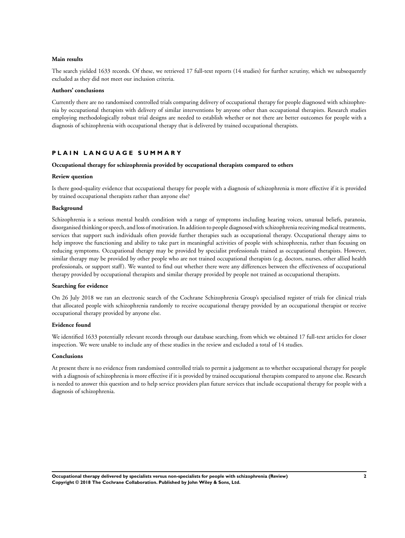## **Main results**

The search yielded 1633 records. Of these, we retrieved 17 full-text reports (14 studies) for further scrutiny, which we subsequently excluded as they did not meet our inclusion criteria.

## **Authors' conclusions**

Currently there are no randomised controlled trials comparing delivery of occupational therapy for people diagnosed with schizophrenia by occupational therapists with delivery of similar interventions by anyone other than occupational therapists. Research studies employing methodologically robust trial designs are needed to establish whether or not there are better outcomes for people with a diagnosis of schizophrenia with occupational therapy that is delivered by trained occupational therapists.

## **P L A I N L A N G U A G E S U M M A R Y**

## **Occupational therapy for schizophrenia provided by occupational therapists compared to others**

## **Review question**

Is there good-quality evidence that occupational therapy for people with a diagnosis of schizophrenia is more effective if it is provided by trained occupational therapists rather than anyone else?

## **Background**

Schizophrenia is a serious mental health condition with a range of symptoms including hearing voices, unusual beliefs, paranoia, disorganised thinking or speech, and loss of motivation. In addition to people diagnosed with schizophrenia receiving medical treatments, services that support such individuals often provide further therapies such as occupational therapy. Occupational therapy aims to help improve the functioning and ability to take part in meaningful activities of people with schizophrenia, rather than focusing on reducing symptoms. Occupational therapy may be provided by specialist professionals trained as occupational therapists. However, similar therapy may be provided by other people who are not trained occupational therapists (e.g. doctors, nurses, other allied health professionals, or support staff). We wanted to find out whether there were any differences between the effectiveness of occupational therapy provided by occupational therapists and similar therapy provided by people not trained as occupational therapists.

## **Searching for evidence**

On 26 July 2018 we ran an electronic search of the Cochrane Schizophrenia Group's specialised register of trials for clinical trials that allocated people with schizophrenia randomly to receive occupational therapy provided by an occupational therapist or receive occupational therapy provided by anyone else.

## **Evidence found**

We identified 1633 potentially relevant records through our database searching, from which we obtained 17 full-text articles for closer inspection. We were unable to include any of these studies in the review and excluded a total of 14 studies.

#### **Conclusions**

At present there is no evidence from randomised controlled trials to permit a judgement as to whether occupational therapy for people with a diagnosis of schizophrenia is more effective if it is provided by trained occupational therapists compared to anyone else. Research is needed to answer this question and to help service providers plan future services that include occupational therapy for people with a diagnosis of schizophrenia.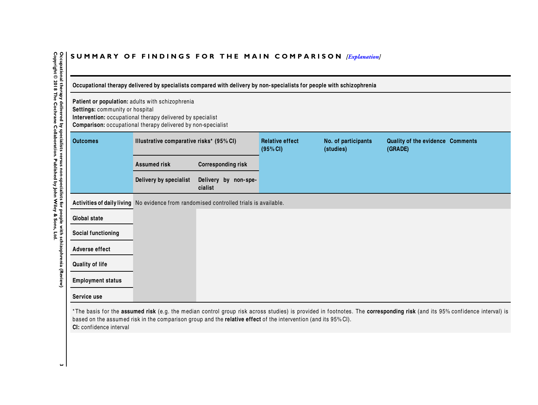# <span id="page-4-0"></span>SUMMARY OF FINDINGS FOR THE MAIN COMPARISON *[\[Explanation\]](http://www.thecochranelibrary.com/view/0/SummaryFindings.html)*

Occupational therapy delivered by specialists compared with delivery by non-specialists for people with schizophrenia

**Patient or population:** adults with schizophrenia

**Settings:** community or hospital

**Intervention:** occupational therapy delivered by specialist

**Comparison:** occupational therapy delivered by non-specialist

| <b>Outcomes</b>          | Illustrative comparative risks* (95% CI)                                               |                                 | <b>Relative effect</b><br>(95% CI) | No. of participants<br>(studies) | Quality of the evidence Comments<br>(GRADE) |  |
|--------------------------|----------------------------------------------------------------------------------------|---------------------------------|------------------------------------|----------------------------------|---------------------------------------------|--|
|                          | <b>Assumed risk</b>                                                                    | <b>Corresponding risk</b>       |                                    |                                  |                                             |  |
|                          | Delivery by specialist                                                                 | Delivery by non-spe-<br>cialist |                                    |                                  |                                             |  |
|                          | Activities of daily living No evidence from randomised controlled trials is available. |                                 |                                    |                                  |                                             |  |
| <b>Global state</b>      |                                                                                        |                                 |                                    |                                  |                                             |  |
| Social functioning       |                                                                                        |                                 |                                    |                                  |                                             |  |
| Adverse effect           |                                                                                        |                                 |                                    |                                  |                                             |  |
| <b>Quality of life</b>   |                                                                                        |                                 |                                    |                                  |                                             |  |
| <b>Employment status</b> |                                                                                        |                                 |                                    |                                  |                                             |  |
| Service use              |                                                                                        |                                 |                                    |                                  |                                             |  |

\* The basis for the **assumed risk** (e.g. the median control group risk across studies) is provided in footnotes. The **corresponding risk** (and its 95% conf idence interval) is based on the assumed risk in the comparison group and the **relative effect** of the intervention (and its 95% CI). **CI:** confidence interval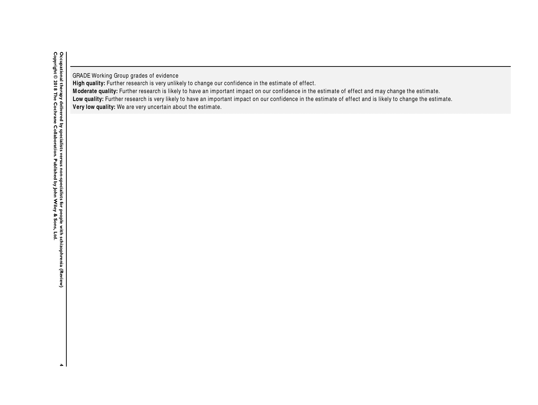GRADE Working Group grades of evidence

High quality: Further research is very unlikely to change our confidence in the estimate of effect.<br>Moderate quality: Further research is likely to have an important impact on our confidence in the estimate of effect and m **Moderate quality:** Further research is likely to have an important impact on our confidence in the estimate of effect and may change the estimate.<br>Low quality: Eurther research is very likely to have an impactant impact o

**Low quality:** Further research is very likely to have an important impact on our confidence in the estimate of effect and is likely to change the estimate.<br>Very low quality: We are very uncertain about the estimate. **Very low quality:** We are very uncertain about the estimate.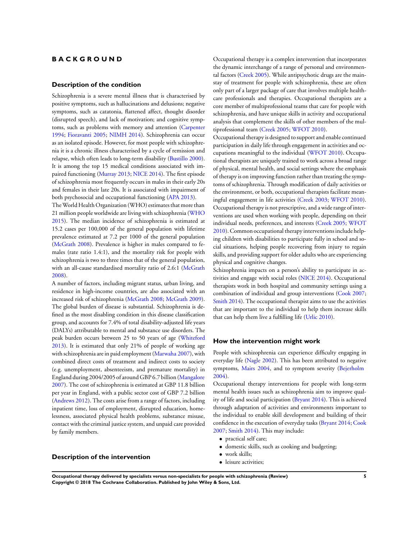# <span id="page-6-0"></span>**B A C K G R O U N D**

## **Description of the condition**

Schizophrenia is a severe mental illness that is characterised by positive symptoms, such as hallucinations and delusions; negative symptoms, such as catatonia, flattened affect, thought disorder (disrupted speech), and lack of motivation; and cognitive symptoms, such as problems with memory and attention [\(Carpenter](#page-18-0) [1994](#page-18-0); [Fioravanti 2005](#page-18-0); [NIMH 2014](#page-18-0)). Schizophrenia can occur as an isolated episode. However, for most people with schizophrenia it is a chronic illness characterised by a cycle of remission and relapse, which often leads to long-term disability [\(Bustillo 2000](#page-18-0)). It is among the top 15 medical conditions associated with impaired functioning [\(Murray 2013](#page-18-0); [NICE 2014\)](#page-18-0). The first episode of schizophrenia most frequently occurs in males in their early 20s and females in their late 20s. It is associated with impairment of both psychosocial and occupational functioning ([APA 2013\)](#page-18-0).

TheWorld Health Organization (WHO) estimates that more than 21 million people worldwide are living with schizophrenia [\(WHO](#page-18-0) [2015](#page-18-0)). The median incidence of schizophrenia is estimated at 15.2 cases per 100,000 of the general population with lifetime prevalence estimated at 7.2 per 1000 of the general population [\(McGrath 2008](#page-18-0)). Prevalence is higher in males compared to females (rate ratio 1.4:1), and the mortality risk for people with schizophrenia is two to three times that of the general population, with an all-cause standardised mortality ratio of 2.6:1 [\(McGrath](#page-18-0) [2008](#page-18-0)).

A number of factors, including migrant status, urban living, and residence in high-income countries, are also associated with an increased risk of schizophrenia ([McGrath 2008](#page-18-0); [McGrath 2009](#page-18-0)). The global burden of disease is substantial. Schizophrenia is defined as the most disabling condition in this disease classification group, and accounts for 7.4% of total disability-adjusted life years (DALYs) attributable to mental and substance use disorders. The peak burden occurs between 25 to 50 years of age ([Whiteford](#page-18-0) [2013](#page-18-0)). It is estimated that only 21% of people of working age with schizophrenia are in paid employment ([Marwaha 2007](#page-18-0)), with combined direct costs of treatment and indirect costs to society (e.g. unemployment, absenteeism, and premature mortality) in England during 2004/2005 of around GBP 6.7 billion [\(Mangalore](#page-18-0) [2007](#page-18-0)). The cost of schizophrenia is estimated at GBP 11.8 billion per year in England, with a public sector cost of GBP 7.2 billion [\(Andrews 2012](#page-18-0)). The costs arise from a range of factors, including inpatient time, loss of employment, disrupted education, homelessness, associated physical health problems, substance misuse, contact with the criminal justice system, and unpaid care provided by family members.

## **Description of the intervention**

Occupational therapy is a complex intervention that incorporates the dynamic interchange of a range of personal and environmental factors ([Creek 2005](#page-18-0)). While antipsychotic drugs are the mainstay of treatment for people with schizophrenia, these are often only part of a larger package of care that involves multiple healthcare professionals and therapies. Occupational therapists are a core member of multiprofessional teams that care for people with schizophrenia, and have unique skills in activity and occupational analysis that complement the skills of other members of the multiprofessional team ([Creek 2005;](#page-18-0) [WFOT 2010\)](#page-18-0).

Occupational therapy is designed to support and enable continued participation in daily life through engagement in activities and occupations meaningful to the individual [\(WFOT 2010\)](#page-18-0). Occupational therapists are uniquely trained to work across a broad range of physical, mental health, and social settings where the emphasis of therapy is on improving function rather than treating the symptoms of schizophrenia. Through modification of daily activities or the environment, or both, occupational therapists facilitate meaningful engagement in life activities ([Creek 2003](#page-18-0); [WFOT 2010](#page-18-0)). Occupational therapy is not prescriptive, and a wide range of interventions are used when working with people, depending on their individual needs, preferences, and interests [\(Creek 2005](#page-18-0); [WFOT](#page-18-0) [2010](#page-18-0)). Common occupational therapy interventions include helping children with disabilities to participate fully in school and social situations, helping people recovering from injury to regain skills, and providing support for older adults who are experiencing physical and cognitive changes.

Schizophrenia impacts on a person's ability to participate in activities and engage with social roles [\(NICE 2014](#page-18-0)). Occupational therapists work in both hospital and community settings using a combination of individual and group interventions [\(Cook 2007;](#page-18-0) [Smith 2014](#page-18-0)). The occupational therapist aims to use the activities that are important to the individual to help them increase skills that can help them live a fulfilling life ([Urlic 2010\)](#page-18-0).

## **How the intervention might work**

People with schizophrenia can experience difficulty engaging in everyday life [\(Nagle 2002](#page-18-0)). This has been attributed to negative symptoms, [Mairs 2004](#page-18-0), and to symptom severity [\(Bejerholm](#page-18-0) [2004](#page-18-0)).

Occupational therapy interventions for people with long-term mental health issues such as schizophrenia aim to improve quality of life and social participation [\(Bryant 2014\)](#page-18-0). This is achieved through adaptation of activities and environments important to the individual to enable skill development and building of their confidence in the execution of everyday tasks [\(Bryant 2014;](#page-18-0) [Cook](#page-18-0) [2007](#page-18-0); [Smith 2014\)](#page-18-0). This may include:

- practical self care;
- domestic skills, such as cooking and budgeting;
- work skills;
- leisure activities;

**Occupational therapy delivered by specialists versus non-specialists for people with schizophrenia (Review) 5 Copyright © 2018 The Cochrane Collaboration. Published by John Wiley & Sons, Ltd.**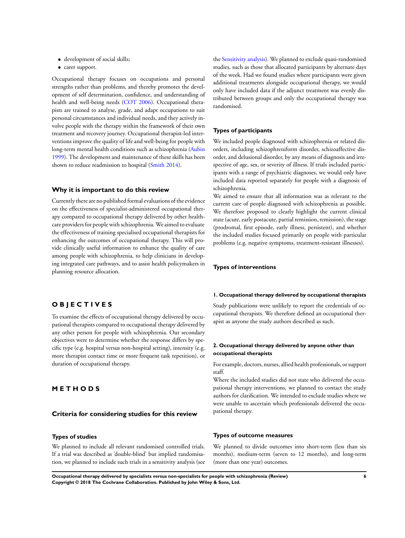- development of social skills;
- carer support.

Occupational therapy focuses on occupations and personal strengths rather than problems, and thereby promotes the development of self determination, confidence, and understanding of health and well-being needs ([COT 2006](#page-18-0)). Occupational therapists are trained to analyse, grade, and adapt occupations to suit personal circumstances and individual needs, and they actively involve people with the therapy within the framework of their own treatment and recovery journey. Occupational therapist-led interventions improve the quality of life and well-being for people with long-term mental health conditions such as schizophrenia ([Aubin](#page-18-0) [1999](#page-18-0)). The development and maintenance of these skills has been shown to reduce readmission to hospital ([Smith 2014](#page-18-0)).

## **Why it is important to do this review**

Currently there are no published formal evaluations of the evidence on the effectiveness of specialist-administered occupational therapy compared to occupational therapy delivered by other healthcare providers for people with schizophrenia. We aimed to evaluate the effectiveness of training specialised occupational therapists for enhancing the outcomes of occupational therapy. This will provide clinically useful information to enhance the quality of care among people with schizophrenia, to help clinicians in developing integrated care pathways, and to assist health policymakers in planning resource allocation.

# **O B J E C T I V E S**

To examine the effects of occupational therapy delivered by occupational therapists compared to occupational therapy delivered by any other person for people with schizophrenia. Our secondary objectives were to determine whether the response differs by specific type (e.g. hospital versus non-hospital setting), intensity (e.g. more therapist contact time or more frequent task repetition), or duration of occupational therapy.

# **M E T H O D S**

## **Criteria for considering studies for this review**

## **Types of studies**

We planned to include all relevant randomised controlled trials. If a trial was described as 'double-blind' but implied randomisation, we planned to include such trials in a sensitivity analysis (see

the [Sensitivity analysis\)](#page-6-0). We planned to exclude quasi-randomised studies, such as those that allocated participants by alternate days of the week. Had we found studies where participants were given additional treatments alongside occupational therapy, we would only have included data if the adjunct treatment was evenly distributed between groups and only the occupational therapy was randomised.

## **Types of participants**

We included people diagnosed with schizophrenia or related disorders, including schizophreniform disorder, schizoaffective disorder, and delusional disorder, by any means of diagnosis and irrespective of age, sex, or severity of illness. If trials included participants with a range of psychiatric diagnoses, we would only have included data reported separately for people with a diagnosis of schizophrenia.

We aimed to ensure that all information was as relevant to the current care of people diagnosed with schizophrenia as possible. We therefore proposed to clearly highlight the current clinical state (acute, early postacute, partial remission, remission), the stage (prodromal, first episode, early illness, persistent), and whether the included studies focused primarily on people with particular problems (e.g. negative symptoms, treatment-resistant illnesses).

#### **Types of interventions**

#### **1. Occupational therapy delivered by occupational therapists**

Study publications were unlikely to report the credentials of occupational therapists. We therefore defined an occupational therapist as anyone the study authors described as such.

## **2. Occupational therapy delivered by anyone other than occupational therapists**

For example, doctors, nurses, allied health professionals, or support staff.

Where the included studies did not state who delivered the occupational therapy interventions, we planned to contact the study authors for clarification. We intended to exclude studies where we were unable to ascertain which professionals delivered the occupational therapy.

## **Types of outcome measures**

We planned to divide outcomes into short-term (less than six months), medium-term (seven to 12 months), and long-term (more than one year) outcomes.

**Occupational therapy delivered by specialists versus non-specialists for people with schizophrenia (Review) 6 Copyright © 2018 The Cochrane Collaboration. Published by John Wiley & Sons, Ltd.**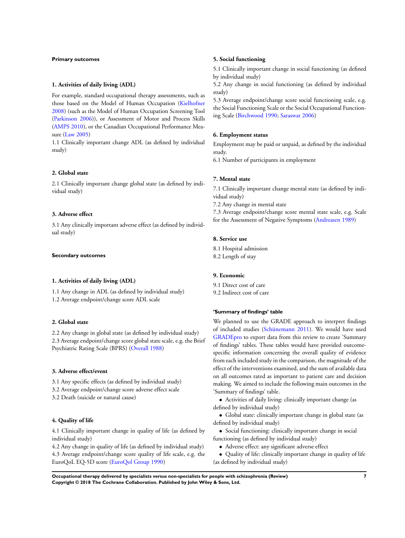## **Primary outcomes**

## **1. Activities of daily living (ADL)**

For example, standard occupational therapy assessments, such as those based on the Model of Human Occupation [\(Kielhofner](#page-18-0) [2008](#page-18-0)) (such as the Model of Human Occupation Screening Tool [\(Parkinson 2006](#page-18-0))), or Assessment of Motor and Process Skills [\(AMPS 2010](#page-18-0)), or the Canadian Occupational Performance Measure [\(Law 2005](#page-18-0))

1.1 Clinically important change ADL (as defined by individual study)

## **2. Global state**

2.1 Clinically important change global state (as defined by individual study)

## **3. Adverse effect**

3.1 Any clinically important adverse effect (as defined by individual study)

## **Secondary outcomes**

## **1. Activities of daily living (ADL)**

1.1 Any change in ADL (as defined by individual study) 1.2 Average endpoint/change score ADL scale

## **2. Global state**

2.2 Any change in global state (as defined by individual study) 2.3 Average endpoint/change score global state scale, e.g. the Brief Psychiatric Rating Scale (BPRS) [\(Overall 1988](#page-18-0))

## **3. Adverse effect/event**

3.1 Any specific effects (as defined by individual study) 3.2 Average endpoint/change score adverse effect scale

3.2 Death (suicide or natural cause)

## **4. Quality of life**

4.1 Clinically important change in quality of life (as defined by individual study)

4.2 Any change in quality of life (as defined by individual study) 4.3 Average endpoint/change score quality of life scale, e.g. the EuroQoL EQ-5D score [\(EuroQol Group 1990\)](#page-18-0)

## **5. Social functioning**

5.1 Clinically important change in social functioning (as defined by individual study)

5.2 Any change in social functioning (as defined by individual study)

5.3 Average endpoint/change score social functioning scale, e.g. the Social Functioning Scale or the Social Occupational Functioning Scale [\(Birchwood 1990](#page-18-0); [Saraswat 2006\)](#page-18-0)

## **6. Employment status**

Employment may be paid or unpaid, as defined by the individual study.

6.1 Number of participants in employment

## **7. Mental state**

7.1 Clinically important change mental state (as defined by individual study)

7.2 Any change in mental state

7.3 Average endpoint/change score mental state scale, e.g. Scale for the Assessment of Negative Symptoms ([Andreasen 1989](#page-18-0))

## **8. Service use**

8.1 Hospital admission 8.2 Length of stay

## **9. Economic**

9.1 Direct cost of care 9.2 Indirect cost of care

## **'Summary of findings' table**

We planned to use the GRADE approach to interpret findings of included studies [\(Schünemann 2011\)](#page-18-0). We would have used [GRADEpro](http://methods.cochrane.org/gradeing/gradepro-gdt) to export data from this review to create 'Summary of findings' tables. These tables would have provided outcomespecific information concerning the overall quality of evidence from each included study in the comparison, the magnitude of the effect of the interventions examined, and the sum of available data on all outcomes rated as important to patient care and decision making. We aimed to include the following main outcomes in the 'Summary of findings' table.

• Activities of daily living: clinically important change (as defined by individual study)

• Global state: clinically important change in global state (as defined by individual study)

• Social functioning: clinically important change in social functioning (as defined by individual study)

- Adverse effect: any significant adverse effect
- Quality of life: clinically important change in quality of life (as defined by individual study)

**Occupational therapy delivered by specialists versus non-specialists for people with schizophrenia (Review) 7 Copyright © 2018 The Cochrane Collaboration. Published by John Wiley & Sons, Ltd.**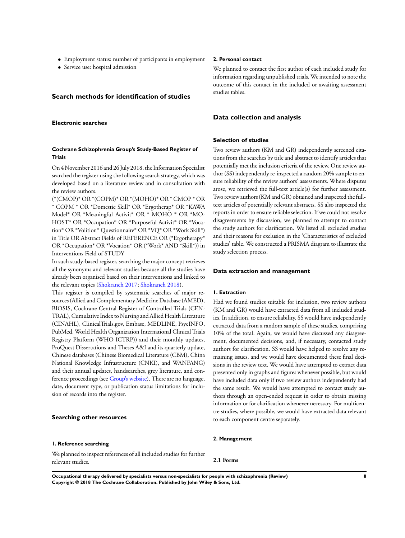- Employment status: number of participants in employment
- Service use: hospital admission

#### **Search methods for identification of studies**

**Electronic searches**

## **Cochrane Schizophrenia Group's Study-Based Register of Trials**

On 4 November 2016 and 26 July 2018, the Information Specialist searched the register using the following search strategy, which was developed based on a literature review and in consultation with the review authors.

(\*(CMOP)\* OR \*(COPM)\* OR \*(MOHO)\* OR \* CMOP \* OR \* COPM \* OR \*Domestic Skill\* OR \*Ergotherap\* OR \*KAWA Model\* OR \*Meaningful Activit\* OR \* MOHO \* OR \*MO-HOST\* OR \*Occupation\* OR \*Purposeful Activit\* OR \*Vocation\* OR \*Volition\* Questionnaire\* OR \*VQ\* OR \*Work Skill\*) in Title OR Abstract Fields of REFERENCE OR (\*Ergotherapy\* OR \*Occupation\* OR \*Vocation\* OR (\*Work\* AND \*Skill\*)) in Interventions Field of STUDY

In such study-based register, searching the major concept retrieves all the synonyms and relevant studies because all the studies have already been organised based on their interventions and linked to the relevant topics [\(Shokraneh 2017;](#page-18-0) [Shokraneh 2018\)](#page-18-0).

This register is compiled by systematic searches of major resources (Allied and Complementary Medicine Database (AMED), BIOSIS, Cochrane Central Register of Controlled Trials (CEN-TRAL), Cumulative Index to Nursing and Allied Health Literature (CINAHL), ClinicalTrials.gov, Embase, MEDLINE, PsycINFO, PubMed, World Health Organization International Clinical Trials Registry Platform (WHO ICTRP)) and their monthly updates, ProQuest Dissertations and Theses A&I and its quarterly update, Chinese databases (Chinese Biomedical Literature (CBM), China National Knowledge Infrastructure (CNKI), and WANFANG) and their annual updates, handsearches, grey literature, and conference proceedings (see [Group's website\)](http://schizophrenia.cochrane.org/register-trials). There are no language, date, document type, or publication status limitations for inclusion of records into the register.

## **Searching other resources**

#### **1. Reference searching**

We planned to inspect references of all included studies for further relevant studies.

#### **2. Personal contact**

We planned to contact the first author of each included study for information regarding unpublished trials. We intended to note the outcome of this contact in the included or awaiting assessment studies tables.

#### **Data collection and analysis**

#### **Selection of studies**

Two review authors (KM and GR) independently screened citations from the searches by title and abstract to identify articles that potentially met the inclusion criteria of the review. One review author (SS) independently re-inspected a random 20% sample to ensure reliability of the review authors' assessments. Where disputes arose, we retrieved the full-text article(s) for further assessment. Two review authors (KM and GR) obtained and inspected the fulltext articles of potentially relevant abstracts. SS also inspected the reports in order to ensure reliable selection. If we could not resolve disagreements by discussion, we planned to attempt to contact the study authors for clarification. We listed all excluded studies and their reasons for exclusion in the 'Characteristics of excluded studies' table. We constructed a PRISMA diagram to illustrate the study selection process.

## **Data extraction and management**

#### **1. Extraction**

Had we found studies suitable for inclusion, two review authors (KM and GR) would have extracted data from all included studies. In addition, to ensure reliability, SS would have independently extracted data from a random sample of these studies, comprising 10% of the total. Again, we would have discussed any disagreement, documented decisions, and, if necessary, contacted study authors for clarification. SS would have helped to resolve any remaining issues, and we would have documented these final decisions in the review text. We would have attempted to extract data presented only in graphs and figures whenever possible, but would have included data only if two review authors independently had the same result. We would have attempted to contact study authors through an open-ended request in order to obtain missing information or for clarification whenever necessary. For multicentre studies, where possible, we would have extracted data relevant to each component centre separately.

**2. Management**

**2.1 Forms**

**Occupational therapy delivered by specialists versus non-specialists for people with schizophrenia (Review) 8 Copyright © 2018 The Cochrane Collaboration. Published by John Wiley & Sons, Ltd.**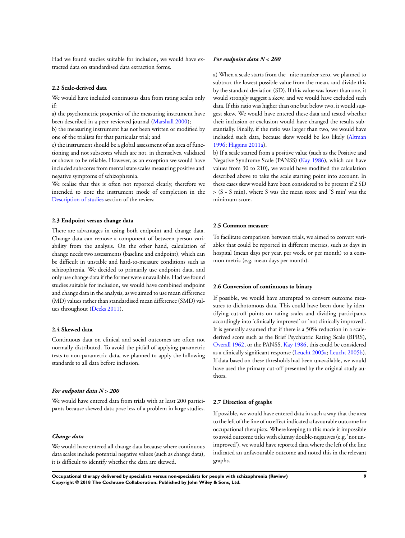Had we found studies suitable for inclusion, we would have extracted data on standardised data extraction forms.

## **2.2 Scale-derived data**

We would have included continuous data from rating scales only if:

a) the psychometric properties of the measuring instrument have been described in a peer-reviewed journal ([Marshall 2000\)](#page-18-0);

b) the measuring instrument has not been written or modified by one of the trialists for that particular trial; and

c) the instrument should be a global assessment of an area of functioning and not subscores which are not, in themselves, validated or shown to be reliable. However, as an exception we would have included subscores from mental state scales measuring positive and negative symptoms of schizophrenia.

We realise that this is often not reported clearly, therefore we intended to note the instrument mode of completion in the [Description of studies](#page-6-0) section of the review.

## **2.3 Endpoint versus change data**

There are advantages in using both endpoint and change data. Change data can remove a component of between-person variability from the analysis. On the other hand, calculation of change needs two assessments (baseline and endpoint), which can be difficult in unstable and hard-to-measure conditions such as schizophrenia. We decided to primarily use endpoint data, and only use change data if the former were unavailable. Had we found studies suitable for inclusion, we would have combined endpoint and change data in the analysis, as we aimed to use mean difference (MD) values rather than standardised mean difference (SMD) values throughout [\(Deeks 2011\)](#page-18-0).

## **2.4 Skewed data**

Continuous data on clinical and social outcomes are often not normally distributed. To avoid the pitfall of applying parametric tests to non-parametric data, we planned to apply the following standards to all data before inclusion.

#### *For endpoint data N > 200*

We would have entered data from trials with at least 200 participants because skewed data pose less of a problem in large studies.

## *Change data*

We would have entered all change data because where continuous data scales include potential negative values (such as change data), it is difficult to identify whether the data are skewed.

#### *For endpoint data N < 200*

a) When a scale starts from the nite number zero, we planned to subtract the lowest possible value from the mean, and divide this by the standard deviation (SD). If this value was lower than one, it would strongly suggest a skew, and we would have excluded such data. If this ratio was higher than one but below two, it would suggest skew. We would have entered these data and tested whether their inclusion or exclusion would have changed the results substantially. Finally, if the ratio was larger than two, we would have included such data, because skew would be less likely [\(Altman](#page-18-0) [1996](#page-18-0); [Higgins 2011a](#page-18-0)).

b) If a scale started from a positive value (such as the Positive and Negative Syndrome Scale (PANSS) ([Kay 1986](#page-18-0)), which can have values from 30 to 210), we would have modified the calculation described above to take the scale starting point into account. In these cases skew would have been considered to be present if 2 SD > (S - S min), where S was the mean score and 'S min' was the minimum score.

## **2.5 Common measure**

To facilitate comparison between trials, we aimed to convert variables that could be reported in different metrics, such as days in hospital (mean days per year, per week, or per month) to a common metric (e.g. mean days per month).

## **2.6 Conversion of continuous to binary**

If possible, we would have attempted to convert outcome measures to dichotomous data. This could have been done by identifying cut-off points on rating scales and dividing participants accordingly into 'clinically improved' or 'not clinically improved'. It is generally assumed that if there is a 50% reduction in a scalederived score such as the Brief Psychiatric Rating Scale (BPRS), [Overall 1962,](#page-18-0) or the PANSS, [Kay 1986](#page-18-0), this could be considered as a clinically significant response [\(Leucht 2005a](#page-18-0); [Leucht 2005b](#page-18-0)). If data based on these thresholds had been unavailable, we would have used the primary cut-off presented by the original study authors.

## **2.7 Direction of graphs**

If possible, we would have entered data in such a way that the area to the left of the line of no effect indicated a favourable outcome for occupational therapists. Where keeping to this made it impossible to avoid outcome titles with clumsy double-negatives (e.g. 'not unimproved'), we would have reported data where the left of the line indicated an unfavourable outcome and noted this in the relevant graphs.

**Occupational therapy delivered by specialists versus non-specialists for people with schizophrenia (Review) 9 Copyright © 2018 The Cochrane Collaboration. Published by John Wiley & Sons, Ltd.**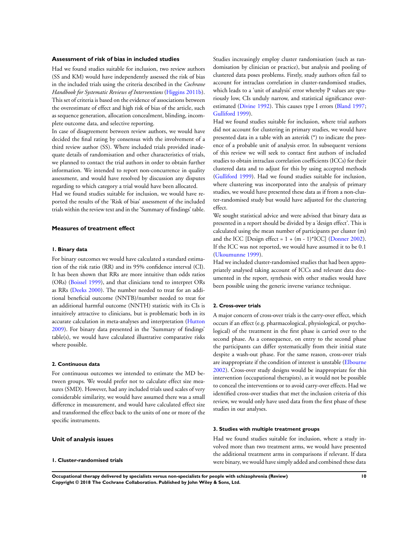## **Assessment of risk of bias in included studies**

Had we found studies suitable for inclusion, two review authors (SS and KM) would have independently assessed the risk of bias in the included trials using the criteria described in the *Cochrane Handbook for Systematic Reviews of Interventions* [\(Higgins 2011b](#page-18-0)). This set of criteria is based on the evidence of associations between the overestimate of effect and high risk of bias of the article, such as sequence generation, allocation concealment, blinding, incomplete outcome data, and selective reporting.

In case of disagreement between review authors, we would have decided the final rating by consensus with the involvement of a third review author (SS). Where included trials provided inadequate details of randomisation and other characteristics of trials, we planned to contact the trial authors in order to obtain further information. We intended to report non-concurrence in quality assessment, and would have resolved by discussion any disputes regarding to which category a trial would have been allocated.

Had we found studies suitable for inclusion, we would have reported the results of the 'Risk of bias' assessment of the included trials within the review text and in the 'Summary of findings' table.

## **Measures of treatment effect**

## **1. Binary data**

For binary outcomes we would have calculated a standard estimation of the risk ratio (RR) and its 95% confidence interval (CI). It has been shown that RRs are more intuitive than odds ratios (ORs) ([Boissel 1999](#page-18-0)), and that clinicians tend to interpret ORs as RRs ([Deeks 2000](#page-18-0)). The number needed to treat for an additional beneficial outcome (NNTB)/number needed to treat for an additional harmful outcome (NNTH) statistic with its CIs is intuitively attractive to clinicians, but is problematic both in its accurate calculation in meta-analyses and interpretation [\(Hutton](#page-18-0) [2009](#page-18-0)). For binary data presented in the 'Summary of findings' table(s), we would have calculated illustrative comparative risks where possible.

#### **2. Continuous data**

For continuous outcomes we intended to estimate the MD between groups. We would prefer not to calculate effect size measures (SMD). However, had any included trials used scales of very considerable similarity, we would have assumed there was a small difference in measurement, and would have calculated effect size and transformed the effect back to the units of one or more of the specific instruments.

#### **Unit of analysis issues**

**1. Cluster-randomised trials**

Studies increasingly employ cluster randomisation (such as randomisation by clinician or practice), but analysis and pooling of clustered data poses problems. Firstly, study authors often fail to account for intraclass correlation in cluster-randomised studies, which leads to a 'unit of analysis' error whereby P values are spuriously low, CIs unduly narrow, and statistical significance overestimated ([Divine 1992](#page-18-0)). This causes type I errors ([Bland 1997;](#page-18-0) [Gulliford 1999\)](#page-18-0).

Had we found studies suitable for inclusion, where trial authors did not account for clustering in primary studies, we would have presented data in a table with an asterisk (\*) to indicate the presence of a probable unit of analysis error. In subsequent versions of this review we will seek to contact first authors of included studies to obtain intraclass correlation coefficients (ICCs) for their clustered data and to adjust for this by using accepted methods [\(Gulliford 1999\)](#page-18-0). Had we found studies suitable for inclusion, where clustering was incorporated into the analysis of primary studies, we would have presented these data as if from a non-cluster-randomised study but would have adjusted for the clustering effect.

We sought statistical advice and were advised that binary data as presented in a report should be divided by a 'design effect'. This is calculated using the mean number of participants per cluster (m) and the ICC [Design effect =  $1 + (m - 1)^*$ ICC] [\(Donner 2002](#page-18-0)). If the ICC was not reported, we would have assumed it to be 0.1 [\(Ukoumunne 1999](#page-18-0)).

Had we included cluster-randomised studies that had been appropriately analysed taking account of ICCs and relevant data documented in the report, synthesis with other studies would have been possible using the generic inverse variance technique.

#### **2. Cross-over trials**

A major concern of cross-over trials is the carry-over effect, which occurs if an effect (e.g. pharmacological, physiological, or psychological) of the treatment in the first phase is carried over to the second phase. As a consequence, on entry to the second phase the participants can differ systematically from their initial state despite a wash-out phase. For the same reason, cross-over trials are inappropriate if the condition of interest is unstable [\(Elbourne](#page-18-0) [2002](#page-18-0)). Cross-over study designs would be inappropriate for this intervention (occupational therapists), as it would not be possible to conceal the interventions or to avoid carry-over effects. Had we identified cross-over studies that met the inclusion criteria of this review, we would only have used data from the first phase of these studies in our analyses.

## **3. Studies with multiple treatment groups**

Had we found studies suitable for inclusion, where a study involved more than two treatment arms, we would have presented the additional treatment arms in comparisons if relevant. If data were binary, we would have simply added and combined these data

**Occupational therapy delivered by specialists versus non-specialists for people with schizophrenia (Review) 10 Copyright © 2018 The Cochrane Collaboration. Published by John Wiley & Sons, Ltd.**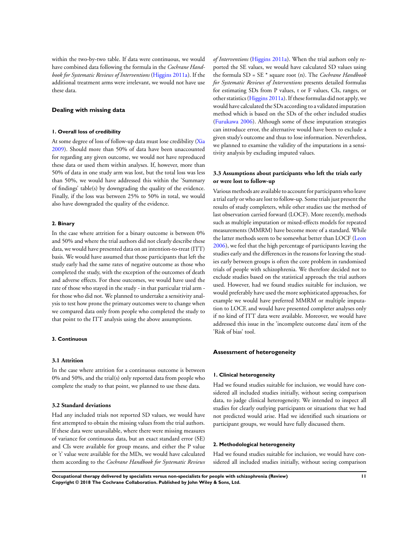within the two-by-two table. If data were continuous, we would have combined data following the formula in the *Cochrane Handbook for Systematic Reviews of Interventions* ([Higgins 2011a\)](#page-18-0). If the additional treatment arms were irrelevant, we would not have use these data.

#### **Dealing with missing data**

#### **1. Overall loss of credibility**

At some degree of loss of follow-up data must lose credibility [\(Xia](#page-18-0) [2009](#page-18-0)). Should more than 50% of data have been unaccounted for regarding any given outcome, we would not have reproduced these data or used them within analyses. If, however, more than 50% of data in one study arm was lost, but the total loss was less than 50%, we would have addressed this within the 'Summary of findings' table(s) by downgrading the quality of the evidence. Finally, if the loss was between 25% to 50% in total, we would also have downgraded the quality of the evidence.

## **2. Binary**

In the case where attrition for a binary outcome is between 0% and 50% and where the trial authors did not clearly describe these data, we would have presented data on an intention-to-treat (ITT) basis. We would have assumed that those participants that left the study early had the same rates of negative outcome as those who completed the study, with the exception of the outcomes of death and adverse effects. For these outcomes, we would have used the rate of those who stayed in the study - in that particular trial arm for those who did not. We planned to undertake a sensitivity analysis to test how prone the primary outcomes were to change when we compared data only from people who completed the study to that point to the ITT analysis using the above assumptions.

#### **3. Continuous**

#### **3.1 Attrition**

In the case where attrition for a continuous outcome is between 0% and 50%, and the trial(s) only reported data from people who complete the study to that point, we planned to use these data.

## **3.2 Standard deviations**

Had any included trials not reported SD values, we would have first attempted to obtain the missing values from the trial authors. If these data were unavailable, where there were missing measures of variance for continuous data, but an exact standard error (SE) and CIs were available for group means, and either the P value or 't' value were available for the MDs, we would have calculated them according to the *Cochrane Handbook for Systematic Reviews*

*of Interventions* [\(Higgins 2011a\)](#page-18-0). When the trial authors only reported the SE values, we would have calculated SD values using the formula SD = SE \* square root (n). The *Cochrane Handbook for Systematic Reviews of Interventions* presents detailed formulas for estimating SDs from P values, t or F values, CIs, ranges, or other statistics ([Higgins 2011a\)](#page-18-0). If these formulas did not apply, we would have calculated the SDs according to a validated imputation method which is based on the SDs of the other included studies [\(Furukawa 2006](#page-18-0)). Although some of these imputation strategies can introduce error, the alternative would have been to exclude a given study's outcome and thus to lose information. Nevertheless, we planned to examine the validity of the imputations in a sensitivity analysis by excluding imputed values.

## **3.3 Assumptions about participants who left the trials early or were lost to follow-up**

Various methods are available to account for participants who leave a trial early or who are lost to follow-up. Some trials just present the results of study completers, while other studies use the method of last observation carried forward (LOCF). More recently, methods such as multiple imputation or mixed-effects models for repeated measurements (MMRM) have become more of a standard. While the latter methods seem to be somewhat better than LOCF ([Leon](#page-18-0) [2006](#page-18-0)), we feel that the high percentage of participants leaving the studies early and the differences in the reasons for leaving the studies early between groups is often the core problem in randomised trials of people with schizophrenia. We therefore decided not to exclude studies based on the statistical approach the trial authors used. However, had we found studies suitable for inclusion, we would preferably have used the more sophisticated approaches, for example we would have preferred MMRM or multiple imputation to LOCF, and would have presented completer analyses only if no kind of ITT data were available. Moreover, we would have addressed this issue in the 'incomplete outcome data' item of the 'Risk of bias' tool.

### **Assessment of heterogeneity**

#### **1. Clinical heterogeneity**

Had we found studies suitable for inclusion, we would have considered all included studies initially, without seeing comparison data, to judge clinical heterogeneity. We intended to inspect all studies for clearly outlying participants or situations that we had not predicted would arise. Had we identified such situations or participant groups, we would have fully discussed them.

#### **2. Methodological heterogeneity**

Had we found studies suitable for inclusion, we would have considered all included studies initially, without seeing comparison

**Occupational therapy delivered by specialists versus non-specialists for people with schizophrenia (Review) 11 Copyright © 2018 The Cochrane Collaboration. Published by John Wiley & Sons, Ltd.**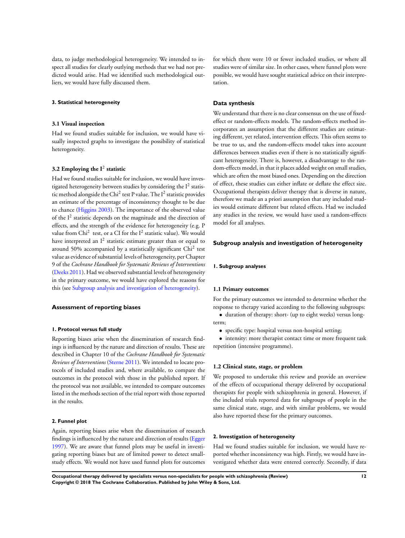data, to judge methodological heterogeneity. We intended to inspect all studies for clearly outlying methods that we had not predicted would arise. Had we identified such methodological outliers, we would have fully discussed them.

## **3. Statistical heterogeneity**

## **3.1 Visual inspection**

Had we found studies suitable for inclusion, we would have visually inspected graphs to investigate the possibility of statistical heterogeneity.

## **3.2 Employing the I**<sup>2</sup> **statistic**

Had we found studies suitable for inclusion, we would have investigated heterogeneity between studies by considering the  $I^2$  statistic method alongside the Chi<sup>2</sup> test P value. The I<sup>2</sup> statistic provides an estimate of the percentage of inconsistency thought to be due to chance ([Higgins 2003](#page-18-0)). The importance of the observed value of the  $I^2$  statistic depends on the magnitude and the direction of effects, and the strength of the evidence for heterogeneity (e.g. P value from Chi<sup>2</sup> test, or a CI for the I<sup>2</sup> statistic value). We would have interpreted an  $I^2$  statistic estimate greater than or equal to around 50% accompanied by a statistically significant Chi<sup>2</sup> test value as evidence of substantial levels of heterogeneity, per Chapter 9 of the *Cochrane Handbook for Systematic Reviews of Interventions* [\(Deeks 2011](#page-18-0)). Had we observed substantial levels of heterogeneity in the primary outcome, we would have explored the reasons for this (see [Subgroup analysis and investigation of heterogeneity](#page-6-0)).

#### **Assessment of reporting biases**

## **1. Protocol versus full study**

Reporting biases arise when the dissemination of research findings is influenced by the nature and direction of results. These are described in Chapter 10 of the *Cochrane Handbook for Systematic Reviews of Interventions* [\(Sterne 2011\)](#page-18-0). We intended to locate protocols of included studies and, where available, to compare the outcomes in the protocol with those in the published report. If the protocol was not available, we intended to compare outcomes listed in the methods section of the trial report with those reported in the results.

## **2. Funnel plot**

Again, reporting biases arise when the dissemination of research findings is influenced by the nature and direction of results [\(Egger](#page-18-0) [1997](#page-18-0)). We are aware that funnel plots may be useful in investigating reporting biases but are of limited power to detect smallstudy effects. We would not have used funnel plots for outcomes

for which there were 10 or fewer included studies, or where all studies were of similar size. In other cases, where funnel plots were possible, we would have sought statistical advice on their interpretation.

## **Data synthesis**

We understand that there is no clear consensus on the use of fixedeffect or random-effects models. The random-effects method incorporates an assumption that the different studies are estimating different, yet related, intervention effects. This often seems to be true to us, and the random-effects model takes into account differences between studies even if there is no statistically significant heterogeneity. There is, however, a disadvantage to the random-effects model, in that it places added weight on small studies, which are often the most biased ones. Depending on the direction of effect, these studies can either inflate or deflate the effect size. Occupational therapists deliver therapy that is diverse in nature, therefore we made an a priori assumption that any included studies would estimate different but related effects. Had we included any studies in the review, we would have used a random-effects model for all analyses.

### **Subgroup analysis and investigation of heterogeneity**

#### **1. Subgroup analyses**

#### **1.1 Primary outcomes**

For the primary outcomes we intended to determine whether the response to therapy varied according to the following subgroups: • duration of therapy: short- (up to eight weeks) versus long-

- term;
	- specific type: hospital versus non-hospital setting;

• intensity: more therapist contact time or more frequent task repetition (intensive programme).

#### **1.2 Clinical state, stage, or problem**

We proposed to undertake this review and provide an overview of the effects of occupational therapy delivered by occupational therapists for people with schizophrenia in general. However, if the included trials reported data for subgroups of people in the same clinical state, stage, and with similar problems, we would also have reported these for the primary outcomes.

## **2. Investigation of heterogeneity**

Had we found studies suitable for inclusion, we would have reported whether inconsistency was high. Firstly, we would have investigated whether data were entered correctly. Secondly, if data

**Occupational therapy delivered by specialists versus non-specialists for people with schizophrenia (Review) 12 Copyright © 2018 The Cochrane Collaboration. Published by John Wiley & Sons, Ltd.**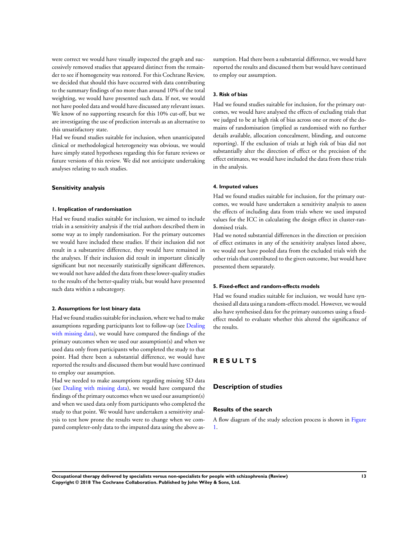were correct we would have visually inspected the graph and successively removed studies that appeared distinct from the remainder to see if homogeneity was restored. For this Cochrane Review, we decided that should this have occurred with data contributing to the summary findings of no more than around 10% of the total weighting, we would have presented such data. If not, we would not have pooled data and would have discussed any relevant issues. We know of no supporting research for this 10% cut-off, but we are investigating the use of prediction intervals as an alternative to this unsatisfactory state.

Had we found studies suitable for inclusion, when unanticipated clinical or methodological heterogeneity was obvious, we would have simply stated hypotheses regarding this for future reviews or future versions of this review. We did not anticipate undertaking analyses relating to such studies.

#### **Sensitivity analysis**

#### **1. Implication of randomisation**

Had we found studies suitable for inclusion, we aimed to include trials in a sensitivity analysis if the trial authors described them in some way as to imply randomisation. For the primary outcomes we would have included these studies. If their inclusion did not result in a substantive difference, they would have remained in the analyses. If their inclusion did result in important clinically significant but not necessarily statistically significant differences, we would not have added the data from these lower-quality studies to the results of the better-quality trials, but would have presented such data within a subcategory.

## **2. Assumptions for lost binary data**

Had we found studies suitable for inclusion, where we had to make assumptions regarding participants lost to follow-up (see [Dealing](#page-6-0) [with missing data\)](#page-6-0), we would have compared the findings of the primary outcomes when we used our assumption(s) and when we used data only from participants who completed the study to that point. Had there been a substantial difference, we would have reported the results and discussed them but would have continued to employ our assumption.

Had we needed to make assumptions regarding missing SD data (see [Dealing with missing data\)](#page-6-0), we would have compared the findings of the primary outcomes when we used our assumption(s) and when we used data only from participants who completed the study to that point. We would have undertaken a sensitivity analysis to test how prone the results were to change when we compared completer-only data to the imputed data using the above assumption. Had there been a substantial difference, we would have reported the results and discussed them but would have continued to employ our assumption.

## **3. Risk of bias**

Had we found studies suitable for inclusion, for the primary outcomes, we would have analysed the effects of excluding trials that we judged to be at high risk of bias across one or more of the domains of randomisation (implied as randomised with no further details available, allocation concealment, blinding, and outcome reporting). If the exclusion of trials at high risk of bias did not substantially alter the direction of effect or the precision of the effect estimates, we would have included the data from these trials in the analysis.

## **4. Imputed values**

Had we found studies suitable for inclusion, for the primary outcomes, we would have undertaken a sensitivity analysis to assess the effects of including data from trials where we used imputed values for the ICC in calculating the design effect in cluster-randomised trials.

Had we noted substantial differences in the direction or precision of effect estimates in any of the sensitivity analyses listed above, we would not have pooled data from the excluded trials with the other trials that contributed to the given outcome, but would have presented them separately.

#### **5. Fixed-effect and random-effects models**

Had we found studies suitable for inclusion, we would have synthesised all data using a random-effects model. However, we would also have synthesised data for the primary outcomes using a fixedeffect model to evaluate whether this altered the significance of the results.

## **R E S U L T S**

## **Description of studies**

## **Results of the search**

A flow diagram of the study selection process is shown in [Figure](#page-15-0) [1.](#page-15-0)

**Occupational therapy delivered by specialists versus non-specialists for people with schizophrenia (Review) 13 Copyright © 2018 The Cochrane Collaboration. Published by John Wiley & Sons, Ltd.**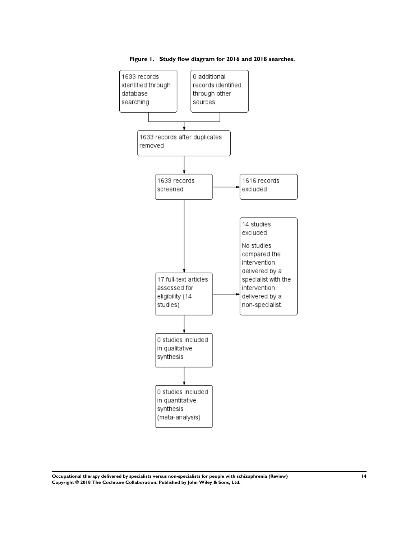<span id="page-15-0"></span>

**Figure 1. Study flow diagram for 2016 and 2018 searches.**

**Occupational therapy delivered by specialists versus non-specialists for people with schizophrenia (Review) 14 Copyright © 2018 The Cochrane Collaboration. Published by John Wiley & Sons, Ltd.**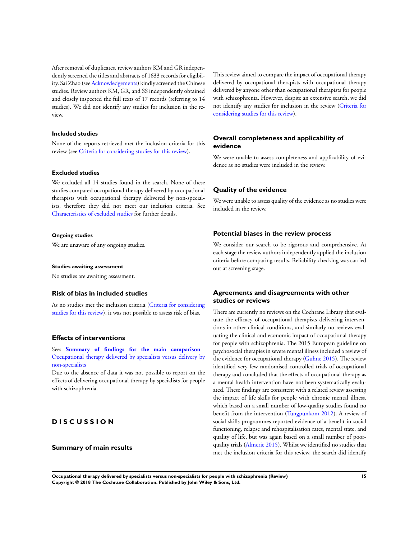After removal of duplicates, review authors KM and GR independently screened the titles and abstracts of 1633 records for eligibility. Sai Zhao (see Acknowledgements) kindly screened the Chinese studies. Review authors KM, GR, and SS independently obtained and closely inspected the full texts of 17 records (referring to 14 studies). We did not identify any studies for inclusion in the review.

## **Included studies**

None of the reports retrieved met the inclusion criteria for this review (see [Criteria for considering studies for this review\)](#page-6-0).

## **Excluded studies**

We excluded all 14 studies found in the search. None of these studies compared occupational therapy delivered by occupational therapists with occupational therapy delivered by non-specialists, therefore they did not meet our inclusion criteria. See [Characteristics of excluded studies](#page-23-0) for further details.

## **Ongoing studies**

We are unaware of any ongoing studies.

#### **Studies awaiting assessment**

No studies are awaiting assessment.

## **Risk of bias in included studies**

As no studies met the inclusion criteria [\(Criteria for considering](#page-6-0) [studies for this review](#page-6-0)), it was not possible to assess risk of bias.

# **Effects of interventions**

See: **[Summary of findings for the main comparison](#page-4-0)** [Occupational therapy delivered by specialists versus delivery by](#page-4-0) [non-specialists](#page-4-0)

Due to the absence of data it was not possible to report on the effects of delivering occupational therapy by specialists for people with schizophrenia.

# **D I S C U S S I O N**

## **Summary of main results**

This review aimed to compare the impact of occupational therapy delivered by occupational therapists with occupational therapy delivered by anyone other than occupational therapists for people with schizophrenia. However, despite an extensive search, we did not identify any studies for inclusion in the review ([Criteria for](#page-6-0) [considering studies for this review\)](#page-6-0).

## **Overall completeness and applicability of evidence**

We were unable to assess completeness and applicability of evidence as no studies were included in the review.

## **Quality of the evidence**

We were unable to assess quality of the evidence as no studies were included in the review.

## **Potential biases in the review process**

We consider our search to be rigorous and comprehensive. At each stage the review authors independently applied the inclusion criteria before comparing results. Reliability checking was carried out at screening stage.

## **Agreements and disagreements with other studies or reviews**

There are currently no reviews on the Cochrane Library that evaluate the efficacy of occupational therapists delivering interventions in other clinical conditions, and similarly no reviews evaluating the clinical and economic impact of occupational therapy for people with schizophrenia. The 2015 European guideline on psychosocial therapies in severe mental illness included a review of the evidence for occupational therapy [\(Guhne 2015](#page-18-0)). The review identified very few randomised controlled trials of occupational therapy and concluded that the effects of occupational therapy as a mental health intervention have not been systematically evaluated. These findings are consistent with a related review assessing the impact of life skills for people with chronic mental illness, which based on a small number of low-quality studies found no benefit from the intervention ([Tungpunkom 2012](#page-18-0)). A review of social skills programmes reported evidence of a benefit in social functioning, relapse and rehospitalisation rates, mental state, and quality of life, but was again based on a small number of poorquality trials ([Almerie 2015](#page-18-0)). Whilst we identified no studies that met the inclusion criteria for this review, the search did identify

**Occupational therapy delivered by specialists versus non-specialists for people with schizophrenia (Review) 15 Copyright © 2018 The Cochrane Collaboration. Published by John Wiley & Sons, Ltd.**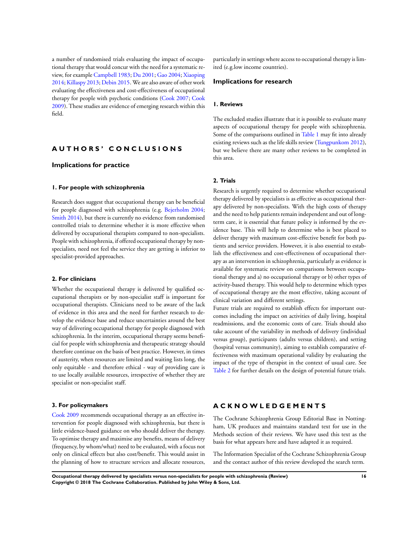a number of randomised trials evaluating the impact of occupational therapy that would concur with the need for a systematic review, for example [Campbell 1983](#page-18-0); [Du 2001;](#page-18-0) [Gao 2004](#page-18-0); [Xiaoping](#page-18-0) [2014](#page-18-0); [Killaspy 2013](#page-18-0); [Debin 2015.](#page-18-0) We are also aware of other work evaluating the effectiveness and cost-effectiveness of occupational therapy for people with psychotic conditions [\(Cook 2007](#page-18-0); [Cook](#page-18-0) [2009](#page-18-0)). These studies are evidence of emerging research within this field.

# **A U T H O R S ' C O N C L U S I O N S**

## **Implications for practice**

#### **1. For people with schizophrenia**

Research does suggest that occupational therapy can be beneficial for people diagnosed with schizophrenia (e.g. [Bejerholm 2004;](#page-18-0) [Smith 2014](#page-18-0)), but there is currently no evidence from randomised controlled trials to determine whether it is more effective when delivered by occupational therapists compared to non-specialists. People with schizophrenia, if offered occupational therapy by nonspecialists, need not feel the service they are getting is inferior to specialist-provided approaches.

## **2. For clinicians**

Whether the occupational therapy is delivered by qualified occupational therapists or by non-specialist staff is important for occupational therapists. Clinicians need to be aware of the lack of evidence in this area and the need for further research to develop the evidence base and reduce uncertainties around the best way of delivering occupational therapy for people diagnosed with schizophrenia. In the interim, occupational therapy seems beneficial for people with schizophrenia and therapeutic strategy should therefore continue on the basis of best practice. However, in times of austerity, when resources are limited and waiting lists long, the only equitable - and therefore ethical - way of providing care is to use locally available resources, irrespective of whether they are specialist or non-specialist staff.

## **3. For policymakers**

[Cook 2009](#page-18-0) recommends occupational therapy as an effective intervention for people diagnosed with schizophrenia, but there is little evidence-based guidance on who should deliver the therapy. To optimise therapy and maximise any benefits, means of delivery (frequency, by whom/what) need to be evaluated, with a focus not only on clinical effects but also cost/benefit. This would assist in the planning of how to structure services and allocate resources,

particularly in settings where access to occupational therapy is limited (e.g.low income countries).

## **Implications for research**

## **1. Reviews**

The excluded studies illustrate that it is possible to evaluate many aspects of occupational therapy for people with schizophrenia. Some of the comparisons outlined in [Table 1](#page-25-0) may fit into already existing reviews such as the life skills review [\(Tungpunkom 2012](#page-18-0)), but we believe there are many other reviews to be completed in this area.

#### **2. Trials**

Research is urgently required to determine whether occupational therapy delivered by specialists is as effective as occupational therapy delivered by non-specialists. With the high costs of therapy and the need to help patients remain independent and out of longterm care, it is essential that future policy is informed by the evidence base. This will help to determine who is best placed to deliver therapy with maximum cost-effective benefit for both patients and service providers. However, it is also essential to establish the effectiveness and cost-effectiveness of occupational therapy as an intervention in schizophrenia, particularly as evidence is available for systematic review on comparisons between occupational therapy and a) no occupational therapy or b) other types of activity-based therapy. This would help to determine which types of occupational therapy are the most effective, taking account of clinical variation and different settings.

Future trials are required to establish effects for important outcomes including the impact on activities of daily living, hospital readmissions, and the economic costs of care. Trials should also take account of the variability in methods of delivery (individual versus group), participants (adults versus children), and setting (hospital versus community), aiming to establish comparative effectiveness with maximum operational validity by evaluating the impact of the type of therapist in the context of usual care. See [Table 2](#page-26-0) for further details on the design of potential future trials.

# **A C K N O W L E D G E M E N T S**

The Cochrane Schizophrenia Group Editorial Base in Nottingham, UK produces and maintains standard text for use in the Methods section of their reviews. We have used this text as the basis for what appears here and have adapted it as required.

The Information Specialist of the Cochrane Schizophrenia Group and the contact author of this review developed the search term.

**Occupational therapy delivered by specialists versus non-specialists for people with schizophrenia (Review) 16 Copyright © 2018 The Cochrane Collaboration. Published by John Wiley & Sons, Ltd.**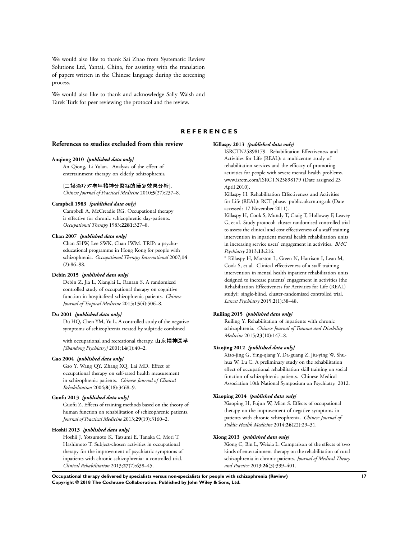<span id="page-18-0"></span>We would also like to thank Sai Zhao from Systematic Review Solutions Ltd, Yantai, China, for assisting with the translation of papers written in the Chinese language during the screening process.

We would also like to thank and acknowledge Sally Walsh and Tarek Turk for peer reviewing the protocol and the review.

## **R E F E R E N C E S**

## **References to studies excluded from this review**

#### **Anqiong 2010** *{published data only}*

An Qiong, Li Yulan. Analysis of the effect of entertainment therapy on elderly schizophrenia

#### [工娱治疗对老年精神分裂症的康复效果分析].

*Chinese Journal of Practical Medicine* 2010;**5**(27):237–8.

#### **Campbell 1983** *{published data only}*

Campbell A, McCreadie RG. Occupational therapy is effective for chronic schizophrenic day-patients. *Occupational Therapy* 1983;**2281**:327–8.

## **Chan 2007** *{published data only}*

Chan SHW, Lee SWK, Chan IWM. TRIP: a psychoeducational programme in Hong Kong for people with schizophrenia. *Occupational Therapy International* 2007;**14** (2):86–98.

## **Debin 2015** *{published data only}*

Debin Z, Jia L, Xianglai L, Ranran S. A randomized controlled study of occupational therapy on cognitive function in hospitalized schizophrenic patients. *Chinese Journal of Tropical Medicine* 2015;**15**(4):506–8.

## **Du 2001** *{published data only}*

Du HQ, Chen YM, Yu L. A controlled study of the negative symptoms of schizophrenia treated by sulpiride combined

with occupational and recreational therapy. 山东精神医学 *[Shandong Psychiatry]* 2001;**14**(1):40–2.

## **Gao 2004** *{published data only}*

Gao Y, Wang QY, Zhang XQ, Lai MD. Effect of occupational therapy on self-rated health measurement in schizophrenic patients. *Chinese Journal of Clinical Rehabilitation* 2004;**8**(18):3468–9.

## **Guofu 2013** *{published data only}*

Guofu Z. Effects of training methods based on the theory of human function on rehabilitation of schizophrenic patients. *Journal of Practical Medicine* 2013;**29**(19):3160–2.

## **Hoshii 2013** *{published data only}*

Hoshii J, Yotsumoto K, Tatsumi E, Tanaka C, Mori T, Hashimoto T. Subject-chosen activities in occupational therapy for the improvement of psychiatric symptoms of inpatients with chronic schizophrenia: a controlled trial. *Clinical Rehabilitation* 2013;**27**(7):638–45.

#### **Killaspy 2013** *{published data only}*

ISRCTN25898179. Rehabilitation Effectiveness and Activities for Life (REAL): a multicentre study of rehabilitation services and the efficacy of promoting activities for people with severe mental health problems. www.isrctn.com/ISRCTN25898179 (Date assigned 23 April 2010).

Killaspy H. Rehabilitation Effectiveness and Activities for Life (REAL): RCT phase. public.ukcrn.org.uk (Date accessed: 17 November 2011).

Killaspy H, Cook S, Mundy T, Craig T, Holloway F, Leavey G, et al. Study protocol: cluster randomised controlled trial to assess the clinical and cost effectiveness of a staff training intervention in inpatient mental health rehabilitation units in increasing service users' engagement in activities. *BMC Psychiatry* 2013;**13**:216.

<sup>∗</sup> Killaspy H, Marston L, Green N, Harrison I, Lean M, Cook S, et al. Clinical effectiveness of a staff training intervention in mental health inpatient rehabilitation units designed to increase patients' engagement in activities (the Rehabilitation Effectiveness for Activities for Life (REAL) study): single-blind, cluster-randomised controlled trial. *Lancet Psychiatry* 2015;**2**(1):38–48.

## **Ruiling 2015** *{published data only}*

Ruiling Y. Rehabilitation of inpatients with chronic schizophrenia. *Chinese Journal of Trauma and Disability Medicine* 2015;**23**(10):147–8.

## **Xiaojing 2012** *{published data only}*

Xiao-jing G, Ying-qiang Y, Da-guang Z, Jiu-ying W, Shuhua W, Lu C. A preliminary study on the rehabilitation effect of occupational rehabilitation skill training on social function of schizophrenic patients. Chinese Medical Association 10th National Symposium on Psychiatry. 2012.

## **Xiaoping 2014** *{published data only}*

Xiaoping H, Fujun W, Mian S. Effects of occupational therapy on the improvement of negative symptoms in patients with chronic schizophrenia. *Chinese Journal of Public Health Medicine* 2014;**26**(22):29–31.

## **Xiong 2013** *{published data only}*

Xiong C, Bin L, Weixia L. Comparison of the effects of two kinds of entertainment therapy on the rehabilitation of rural schizophrenia in chronic patients. *Journal of Medical Theory and Practice* 2013;**26**(3):399–401.

**Occupational therapy delivered by specialists versus non-specialists for people with schizophrenia (Review) 17 Copyright © 2018 The Cochrane Collaboration. Published by John Wiley & Sons, Ltd.**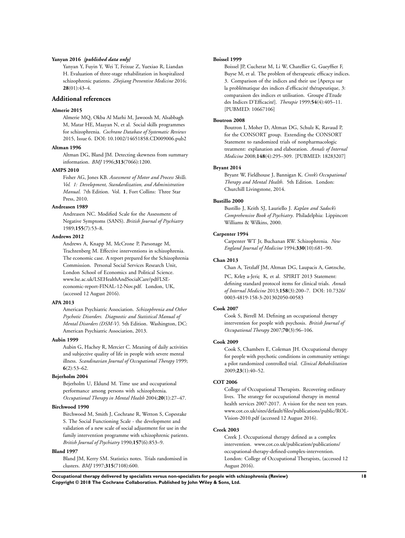## **Yanyan 2016** *{published data only}*

Yanyan Y, Fuyin Y, Wei T, Feixue Z, Yuexiao R, Liandan H. Evaluation of three-stage rehabilitation in hospitalized schizophrenic patients. *Zhejiang Preventive Medicine* 2016; **28**(01):43–4.

## **Additional references**

#### **Almerie 2015**

Almerie MQ, Okba Al Marhi M, Jawoosh M, Alsabbagh M, Matar HE, Maayan N, et al. Social skills programmes for schizophrenia. *Cochrane Database of Systematic Reviews* 2015, Issue 6. DOI: 10.1002/14651858.CD009006.pub2

## **Altman 1996**

Altman DG, Bland JM. Detecting skewness from summary information. *BMJ* 1996;**313**(7066):1200.

## **AMPS 2010**

Fisher AG, Jones KB. *Assessment of Motor and Process Skills. Vol. 1: Development, Standardization, and Administration Manual*. 7th Edition. Vol. **1**, Fort Collins: Three Star Press, 2010.

# **Andreasen 1989**

Andreasen NC. Modified Scale for the Assessment of Negative Symptoms (SANS). *British Journal of Psychiatry* 1989;**155**(7):53–8.

## **Andrews 2012**

Andrews A, Knapp M, McCrone P, Parsonage M, Trachtenberg M. Effective interventions in schizophrenia. The economic case. A report prepared for the Schizophrenia Commission. Personal Social Services Research Unit, London School of Economics and Political Science. www.lse.ac.uk/LSEHealthAndSocialCare/pdf/LSEeconomic-report-FINAL-12-Nov.pdf. London, UK, (accessed 12 August 2016).

## **APA 2013**

American Psychiatric Association. *Schizophrenia and Other Psychotic Disorders. Diagnostic and Statistical Manual of Mental Disorders (DSM-V)*. 5th Edition. Washington, DC: American Psychiatric Association, 2013.

#### **Aubin 1999**

Aubin G, Hachey R, Mercier C. Meaning of daily activities and subjective quality of life in people with severe mental illness. *Scandinavian Journal of Occupational Therapy* 1999; **6**(2):53–62.

## **Bejerholm 2004**

Bejerholm U, Eklund M. Time use and occupational performance among persons with schizophrenia. *Occupational Therapy in Mental Health* 2004;**20**(1):27–47.

#### **Birchwood 1990**

Birchwood M, Smith J, Cochrane R, Wetton S, Copestake S. The Social Functioning Scale - the development and validation of a new scale of social adjustment for use in the family intervention programme with schizophrenic patients. *British Journal of Psychiatry* 1990;**157**(6):853–9.

# **Bland 1997**

Bland JM, Kerry SM. Statistics notes. Trials randomised in clusters. *BMJ* 1997;**315**(7108):600.

#### **Boissel 1999**

Boissel JP, Cucherat M, Li W, Chatellier G, Gueyffier F, Buyse M, et al. The problem of therapeutic efficacy indices. 3. Comparison of the indices and their use [Aperçu sur la problématique des indices d'efficacité thérapeutique, 3: comparaison des indices et utilisation. Groupe d'Etude des Indices D'Efficacité]. *Therapie* 1999;**54**(4):405–11. [PUBMED: 10667106]

#### **Boutron 2008**

Boutron I, Moher D, Altman DG, Schulz K, Ravaud P, for the CONSORT group. Extending the CONSORT Statement to randomized trials of nonpharmacologic treatment: explanation and elaboration. *Annals of Internal Medicine* 2008;**148**(4):295–309. [PUBMED: 18283207]

## **Bryant 2014**

Bryant W, Fieldhouse J, Bannigan K. *Creek's Occupational Therapy and Mental Health*. 5th Edition. London: Churchill Livingstone, 2014.

#### **Bustillo 2000**

Bustillo J, Keith SJ, Lauriello J. *Kaplan and Sadock's Comprehensive Book of Psychiatry*. Philadelphia: Lippincott Williams & Wilkins, 2000.

#### **Carpenter 1994**

Carpenter WT Jr, Buchanan RW. Schizophrenia. *New England Journal of Medicine* 1994;**330**(10):681–90.

#### **Chan 2013**

Chan A, Tetzlaff JM, Altman DG, Laupacis A, Gøtzsche,

PC, Krlež a-Jerić K, et al. SPIRIT 2013 Statement: defining standard protocol items for clinical trials. *Annals of Internal Medicine* 2013;**158**(3):200–7. DOI: 10.7326/ 0003-4819-158-3-201302050-00583

#### **Cook 2007**

Cook S, Birrell M. Defining an occupational therapy intervention for people with psychosis. *British Journal of Occupational Therapy* 2007;**70**(3):96–106.

#### **Cook 2009**

Cook S, Chambers E, Coleman JH. Occupational therapy for people with psychotic conditions in community settings: a pilot randomized controlled trial. *Clinical Rehabilitation* 2009;**23**(1):40–52.

## **COT 2006**

College of Occupational Therapists. Recovering ordinary lives. The strategy for occupational therapy in mental health services 2007-2017. A vision for the next ten years. www.cot.co.uk/sites/default/files/publications/public/ROL-Vision-2010.pdf (accessed 12 August 2016).

#### **Creek 2003**

Creek J. Occupational therapy defined as a complex intervention. www.cot.co.uk/publication/publications/ occupational-therapy-defined-complex-intervention. London: College of Occupational Therapists, (accessed 12 August 2016).

**Occupational therapy delivered by specialists versus non-specialists for people with schizophrenia (Review) 18 Copyright © 2018 The Cochrane Collaboration. Published by John Wiley & Sons, Ltd.**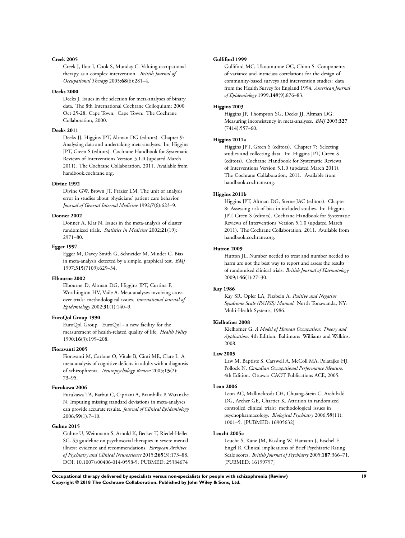#### **Creek 2005**

Creek J, Ilott I, Cook S, Munday C. Valuing occupational therapy as a complex intervention. *British Journal of Occupational Therapy* 2005;**68**(6):281–4.

#### **Deeks 2000**

Deeks J. Issues in the selection for meta-analyses of binary data. The 8th International Cochrane Colloquium; 2000 Oct 25-28; Cape Town. Cape Town: The Cochrane Collaboration, 2000.

#### **Deeks 2011**

Deeks JJ, Higgins JPT, Altman DG (editors). Chapter 9: Analysing data and undertaking meta-analyses. In: Higgins JPT, Green S (editors). Cochrane Handbook for Systematic Reviews of Interventions Version 5.1.0 (updated March 2011). The Cochrane Collaboration, 2011. Available from handbook.cochrane.org.

## **Divine 1992**

Divine GW, Brown JT, Frazier LM. The unit of analysis error in studies about physicians' patient care behavior. *Journal of General Internal Medicine* 1992;**7**(6):623–9.

## **Donner 2002**

Donner A, Klar N. Issues in the meta-analysis of cluster randomized trials. *Statistics in Medicine* 2002;**21**(19): 2971–80.

## **Egger 1997**

Egger M, Davey Smith G, Schneider M, Minder C. Bias in meta-analysis detected by a simple, graphical test. *BMJ* 1997;**315**(7109):629–34.

## **Elbourne 2002**

Elbourne D, Altman DG, Higgins JPT, Curtina F, Worthington HV, Vaile A. Meta-analyses involving crossover trials: methodological issues. *International Journal of Epidemiology* 2002;**31**(1):140–9.

## **EuroQol Group 1990**

EuroQol Group. EuroQol - a new facility for the measurement of health-related quality of life. *Health Policy* 1990;**16**(3):199–208.

#### **Fioravanti 2005**

Fioravanti M, Carlone O, Vitale B, Cinti ME, Clare L. A meta-analysis of cognitive deficits in adults with a diagnosis of schizophrenia. *Neuropsychology Review* 2005;**15**(2): 73–95.

## **Furukawa 2006**

Furukawa TA, Barbui C, Cipriani A, Brambilla P, Watanabe N. Imputing missing standard deviations in meta-analyses can provide accurate results. *Journal of Clinical Epidemiology* 2006;**59**(1):7–10.

## **Guhne 2015**

Gühne U, Weinmann S, Arnold K, Becker T, Riedel-Heller SG. S3 guideline on psychosocial therapies in severe mental illness: evidence and recommendations. *European Archives of Psychiatry and Clinical Neuroscience* 2015;**265**(3):173–88. DOI: 10.1007/s00406-014-0558-9; PUBMED: 25384674

#### **Gulliford 1999**

Gulliford MC, Ukoumunne OC, Chinn S. Components of variance and intraclass correlations for the design of community-based surveys and intervention studies: data from the Health Survey for England 1994. *American Journal of Epidemiology* 1999;**149**(9):876–83.

#### **Higgins 2003**

Higgins JP, Thompson SG, Deeks JJ, Altman DG. Measuring inconsistency in meta-analyses. *BMJ* 2003;**327** (7414):557–60.

#### **Higgins 2011a**

Higgins JPT, Green S (editors). Chapter 7: Selecting studies and collecting data. In: Higgins JPT, Green S (editors). Cochrane Handbook for Systematic Reviews of Interventions Version 5.1.0 (updated March 2011). The Cochrane Collaboration, 2011. Available from handbook.cochrane.org.

## **Higgins 2011b**

Higgins JPT, Altman DG, Sterne JAC (editors). Chapter 8: Assessing risk of bias in included studies. In: Higgins JPT, Green S (editors). Cochrane Handbook for Systematic Reviews of Interventions Version 5.1.0 (updated March 2011). The Cochrane Collaboration, 2011. Available from handbook.cochrane.org.

## **Hutton 2009**

Hutton JL. Number needed to treat and number needed to harm are not the best way to report and assess the results of randomised clinical trials. *British Journal of Haematology* 2009;**146**(1):27–30.

## **Kay 1986**

Kay SR, Opler LA, Fiszbein A. *Positive and Negative Syndrome Scale (PANSS) Manual*. North Tonawanda, NY: Multi-Health Systems, 1986.

#### **Kielhofner 2008**

Kielhofner G. *A Model of Human Occupation: Theory and Application*. 4th Edition. Baltimore: Williams and Wilkins, 2008.

## **Law 2005**

Law M, Baptiste S, Carswell A, McColl MA, Polatajko HJ, Pollock N. *Canadian Occupational Performance Measure*. 4th Edition. Ottawa: CAOT Publications ACE, 2005.

#### **Leon 2006**

Leon AC, Mallinckrodt CH, Chuang-Stein C, Archibald DG, Archer GE, Chartier K. Attrition in randomized controlled clinical trials: methodological issues in psychopharmacology. *Biological Psychiatry* 2006;**59**(11): 1001–5. [PUBMED: 16905632]

#### **Leucht 2005a**

Leucht S, Kane JM, Kissling W, Hamann J, Etschel E, Engel R. Clinical implications of Brief Psychiatric Rating Scale scores. *British Journal of Psychiatry* 2005;**187**:366–71. [PUBMED: 16199797]

**Occupational therapy delivered by specialists versus non-specialists for people with schizophrenia (Review) 19 Copyright © 2018 The Cochrane Collaboration. Published by John Wiley & Sons, Ltd.**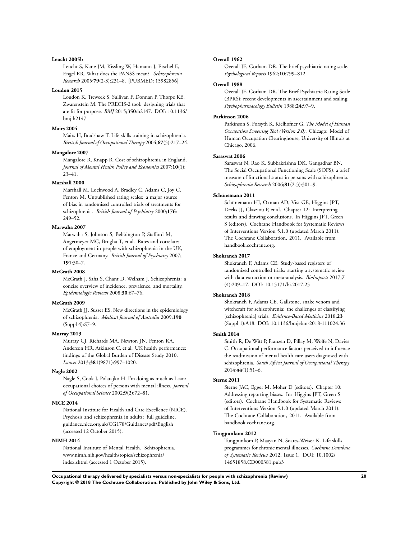#### **Leucht 2005b**

Leucht S, Kane JM, Kissling W, Hamann J, Etschel E, Engel RR. What does the PANSS mean?. *Schizophrenia Research* 2005;**79**(2-3):231–8. [PUBMED: 15982856]

## **Loudon 2015**

Loudon K, Treweek S, Sullivan F, Donnan P, Thorpe KE, Zwarenstein M. The PRECIS-2 tool: designing trials that are fit for purpose. *BMJ* 2015;**350**:h2147. DOI: 10.1136/ bmj.h2147

#### **Mairs 2004**

Mairs H, Bradshaw T. Life skills training in schizophrenia. *Biritish Journal of Occupational Therapy* 2004;**67**(5):217–24.

## **Mangalore 2007**

Mangalore R, Knapp R. Cost of schizophrenia in England. *Journal of Mental Health Policy and Economics* 2007;**10**(1): 23–41.

## **Marshall 2000**

Marshall M, Lockwood A, Bradley C, Adams C, Joy C, Fenton M. Unpublished rating scales: a major source of bias in randomised controlled trials of treatments for schizophrenia. *British Journal of Psychiatry* 2000;**176**: 249–52.

## **Marwaha 2007**

Marwaha S, Johnson S, Bebbington P, Stafford M, Angermeyer MC, Brugha T, et al. Rates and correlates of employment in people with schizophrenia in the UK, France and Germany. *British Journal of Psychiatry* 2007; **191**:30–7.

#### **McGrath 2008**

McGrath J, Saha S, Chant D, Welham J. Schizophrenia: a concise overview of incidence, prevalence, and mortality. *Epidemiologic Reviews* 2008;**30**:67–76.

## **McGrath 2009**

McGrath JJ, Susser ES. New directions in the epidemiology of schizophrenia. *Medical Journal of Australia* 2009;**190** (Suppl 4):S7–9.

## **Murray 2013**

Murray CJ, Richards MA, Newton JN, Fenton KA, Anderson HR, Atkinson C, et al. UK health performance: findings of the Global Burden of Disease Study 2010. *Lancet* 2013;**381**(9871):997–1020.

## **Nagle 2002**

Nagle S, Cook J, Polatajko H. I'm doing as much as I can: occupational choices of persons with mental illness. *Journal of Occupational Science* 2002;**9**(2):72–81.

## **NICE 2014**

National Institute for Health and Care Excellence (NICE). Psychosis and schizophrenia in adults: full guideline. guidance.nice.org.uk/CG178/Guidance/pdf/English (accessed 12 October 2015).

## **NIMH 2014**

National Institute of Mental Health. Schizophrenia. www.nimh.nih.gov/health/topics/schizophrenia/ index.shtml (accessed 1 October 2015).

#### **Overall 1962**

Overall JE, Gorham DR. The brief psychiatric rating scale. *Psychological Reports* 1962;**10**:799–812.

#### **Overall 1988**

Overall JE, Gorham DR. The Brief Psychiatric Rating Scale (BPRS): recent developments in ascertainment and scaling. *Psychopharmacology Bulletin* 1988;**24**:97–9.

#### **Parkinson 2006**

Parkinson S, Forsyth K, Kielhofner G. *The Model of Human Occupation Screening Tool (Version 2.0)*. Chicago: Model of Human Occupation Clearinghouse, University of Illinois at Chicago, 2006.

## **Saraswat 2006**

Saraswat N, Rao K, Subbakrishna DK, Gangadhar BN. The Social Occupational Functioning Scale (SOFS): a brief measure of functional status in persons with schizophrenia. *Schizophrenia Research* 2006;**81**(2-3):301–9.

#### **Schünemann 2011**

Schünemann HJ, Oxman AD, Vist GE, Higgins JPT, Deeks JJ, Glasziou P, et al. Chapter 12: Interpreting results and drawing conclusions. In Higgins JPT, Green S (editors). Cochrane Handbook for Systematic Reviews of Interventions Version 5.1.0 (updated March 2011). The Cochrane Collaboration, 2011. Available from handbook.cochrane.org.

#### **Shokraneh 2017**

Shokraneh F, Adams CE. Study-based registers of randomized controlled trials: starting a systematic review with data extraction or meta-analysis. *BioImpacts* 2017;**7** (4):209–17. DOI: 10.15171/bi.2017.25

## **Shokraneh 2018**

Shokraneh F, Adams CE. Gallstone, snake venom and witchcraft for schizophrenia: the challenges of classifying [schizophrenia] trials. *Evidence-Based Medicine* 2018;**23** (Suppl 1):A18. DOI: 10.1136/bmjebm-2018-111024.36

## **Smith 2014**

Smith R, De Witt P, Franzen D, Pillay M, Wolfe N, Davies C. Occupational performance factors perceived to influence the readmission of mental health care users diagnosed with schizophrenia. *South Africa Journal of Occupational Therapy* 2014;**44**(1):51–6.

## **Sterne 2011**

Sterne JAC, Egger M, Moher D (editors). Chapter 10: Addressing reporting biases. In: Higgins JPT, Green S (editors). Cochrane Handbook for Systematic Reviews of Interventions Version 5.1.0 (updated March 2011). The Cochrane Collaboration, 2011. Available from handbook.cochrane.org.

#### **Tungpunkom 2012**

Tungpunkom P, Maayan N, Soares-Weiser K. Life skills programmes for chronic mental illnesses. *Cochrane Database of Systematic Reviews* 2012, Issue 1. DOI: 10.1002/ 14651858.CD000381.pub3

**Occupational therapy delivered by specialists versus non-specialists for people with schizophrenia (Review) 20 Copyright © 2018 The Cochrane Collaboration. Published by John Wiley & Sons, Ltd.**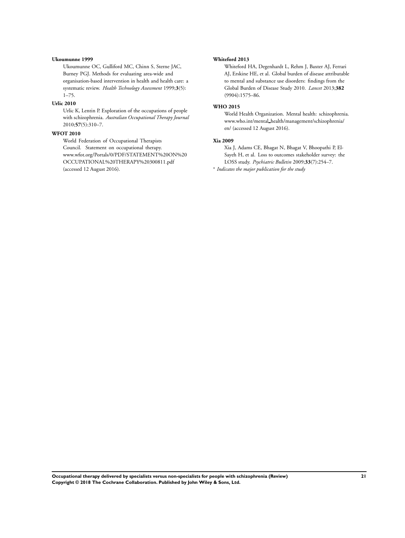## **Ukoumunne 1999**

Ukoumunne OC, Gulliford MC, Chinn S, Sterne JAC, Burney PGJ. Methods for evaluating area-wide and organisation-based intervention in health and health care: a systematic review. *Health Technology Assessment* 1999;**3**(5): 1–75.

## **Urlic 2010**

Urlic K, Lentin P. Exploration of the occupations of people with schizophrenia. *Australian Occupational Therapy Journal* 2010;**57**(5):310–7.

## **WFOT 2010**

World Federation of Occupational Therapists Council. Statement on occupational therapy. www.wfot.org/Portals/0/PDF/STATEMENT%20ON%20 OCCUPATIONAL%20THERAPY%20300811.pdf (accessed 12 August 2016).

## **Whiteford 2013**

Whiteford HA, Degenhardt L, Rehm J, Baxter AJ, Ferrari AJ, Erskine HE, et al. Global burden of disease attributable to mental and substance use disorders: findings from the Global Burden of Disease Study 2010. *Lancet* 2013;**382** (9904):1575–86.

## **WHO 2015**

World Health Organization. Mental health: schizophrenia. www.who.int/mental health/management/schizophrenia/ en/ (accessed 12 August 2016).

#### **Xia 2009**

Xia J, Adams CE, Bhagat N, Bhagat V, Bhoopathi P, El-Sayeh H, et al. Loss to outcomes stakeholder survey: the LOSS study. *Psychiatric Bulletin* 2009;**33**(7):254–7.

∗ *Indicates the major publication for the study*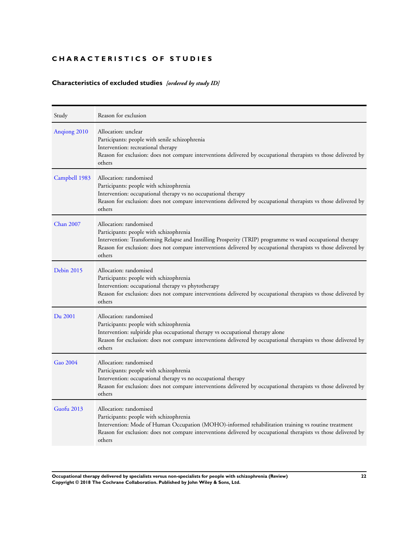# <span id="page-23-0"></span>**CHARACTERISTICS OF STUDIES**

# **Characteristics of excluded studies** *[ordered by study ID]*

| Study             | Reason for exclusion                                                                                                                                                                                                                                                                                         |
|-------------------|--------------------------------------------------------------------------------------------------------------------------------------------------------------------------------------------------------------------------------------------------------------------------------------------------------------|
| Angiong 2010      | Allocation: unclear<br>Participants: people with senile schizophrenia<br>Intervention: recreational therapy<br>Reason for exclusion: does not compare interventions delivered by occupational therapists vs those delivered by<br>others                                                                     |
| Campbell 1983     | Allocation: randomised<br>Participants: people with schizophrenia<br>Intervention: occupational therapy vs no occupational therapy<br>Reason for exclusion: does not compare interventions delivered by occupational therapists vs those delivered by<br>others                                              |
| <b>Chan 2007</b>  | Allocation: randomised<br>Participants: people with schizophrenia<br>Intervention: Transforming Relapse and Instilling Prosperity (TRIP) programme vs ward occupational therapy<br>Reason for exclusion: does not compare interventions delivered by occupational therapists vs those delivered by<br>others |
| <b>Debin 2015</b> | Allocation: randomised<br>Participants: people with schizophrenia<br>Intervention: occupational therapy vs phytotherapy<br>Reason for exclusion: does not compare interventions delivered by occupational therapists vs those delivered by<br>others                                                         |
| Du 2001           | Allocation: randomised<br>Participants: people with schizophrenia<br>Intervention: sulpiride plus occupational therapy vs occupational therapy alone<br>Reason for exclusion: does not compare interventions delivered by occupational therapists vs those delivered by<br>others                            |
| Gao 2004          | Allocation: randomised<br>Participants: people with schizophrenia<br>Intervention: occupational therapy vs no occupational therapy<br>Reason for exclusion: does not compare interventions delivered by occupational therapists vs those delivered by<br>others                                              |
| Guofu 2013        | Allocation: randomised<br>Participants: people with schizophrenia<br>Intervention: Mode of Human Occupation (MOHO)-informed rehabilitation training vs routine treatment<br>Reason for exclusion: does not compare interventions delivered by occupational therapists vs those delivered by<br>others        |

**Occupational therapy delivered by specialists versus non-specialists for people with schizophrenia (Review) 22 Copyright © 2018 The Cochrane Collaboration. Published by John Wiley & Sons, Ltd.**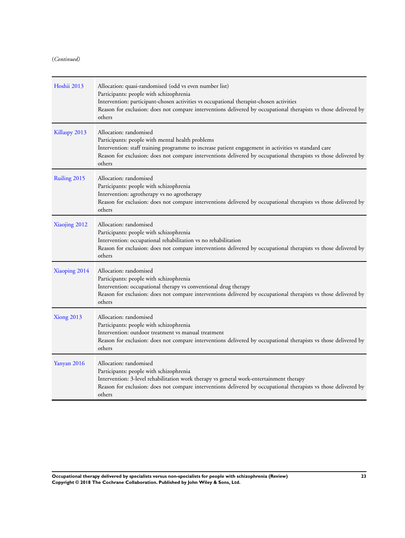(*Continued)*

| Hoshii 2013       | Allocation: quasi-randomised (odd vs even number list)<br>Participants: people with schizophrenia<br>Intervention: participant-chosen activities vs occupational therapist-chosen activities<br>Reason for exclusion: does not compare interventions delivered by occupational therapists vs those delivered by<br>others |
|-------------------|---------------------------------------------------------------------------------------------------------------------------------------------------------------------------------------------------------------------------------------------------------------------------------------------------------------------------|
| Killaspy 2013     | Allocation: randomised<br>Participants: people with mental health problems<br>Intervention: staff training programme to increase patient engagement in activities vs standard care<br>Reason for exclusion: does not compare interventions delivered by occupational therapists vs those delivered by<br>others           |
| Ruiling 2015      | Allocation: randomised<br>Participants: people with schizophrenia<br>Intervention: agrotherapy vs no agrotherapy<br>Reason for exclusion: does not compare interventions delivered by occupational therapists vs those delivered by<br>others                                                                             |
| Xiaojing 2012     | Allocation: randomised<br>Participants: people with schizophrenia<br>Intervention: occupational rehabilitation vs no rehabilitation<br>Reason for exclusion: does not compare interventions delivered by occupational therapists vs those delivered by<br>others                                                          |
| Xiaoping 2014     | Allocation: randomised<br>Participants: people with schizophrenia<br>Intervention: occupational therapy vs conventional drug therapy<br>Reason for exclusion: does not compare interventions delivered by occupational therapists vs those delivered by<br>others                                                         |
| <b>Xiong 2013</b> | Allocation: randomised<br>Participants: people with schizophrenia<br>Intervention: outdoor treatment vs manual treatment<br>Reason for exclusion: does not compare interventions delivered by occupational therapists vs those delivered by<br>others                                                                     |
| Yanyan 2016       | Allocation: randomised<br>Participants: people with schizophrenia<br>Intervention: 3-level rehabilitation work therapy vs general work-entertainment therapy<br>Reason for exclusion: does not compare interventions delivered by occupational therapists vs those delivered by<br>others                                 |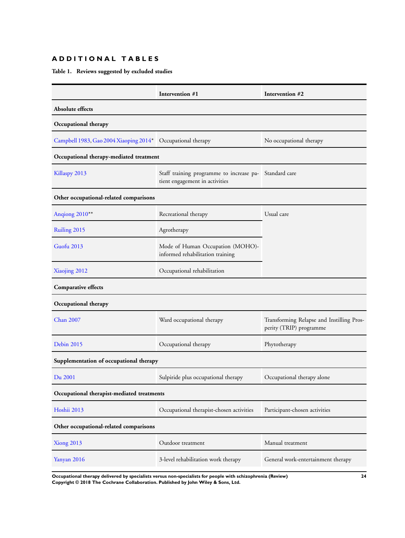# <span id="page-25-0"></span>**A D D I T I O N A L T A B L E S**

# **Table 1. Reviews suggested by excluded studies**

|                                                             | Intervention #1                                                                          | Intervention #2                                                      |  |  |
|-------------------------------------------------------------|------------------------------------------------------------------------------------------|----------------------------------------------------------------------|--|--|
| Absolute effects                                            |                                                                                          |                                                                      |  |  |
| Occupational therapy                                        |                                                                                          |                                                                      |  |  |
| Campbell 1983, Gao 2004 Xiaoping 2014* Occupational therapy |                                                                                          | No occupational therapy                                              |  |  |
| Occupational therapy-mediated treatment                     |                                                                                          |                                                                      |  |  |
| Killaspy 2013                                               | Staff training programme to increase pa- Standard care<br>tient engagement in activities |                                                                      |  |  |
| Other occupational-related comparisons                      |                                                                                          |                                                                      |  |  |
| Angiong 2010**                                              | Recreational therapy                                                                     | Usual care                                                           |  |  |
| Ruiling 2015                                                | Agrotherapy                                                                              |                                                                      |  |  |
| Guofu 2013                                                  | Mode of Human Occupation (MOHO)-<br>informed rehabilitation training                     |                                                                      |  |  |
| Xiaojing 2012                                               | Occupational rehabilitation                                                              |                                                                      |  |  |
| Comparative effects                                         |                                                                                          |                                                                      |  |  |
| Occupational therapy                                        |                                                                                          |                                                                      |  |  |
| <b>Chan 2007</b>                                            | Ward occupational therapy                                                                | Transforming Relapse and Instilling Pros-<br>perity (TRIP) programme |  |  |
| Debin 2015                                                  | Occupational therapy                                                                     | Phytotherapy                                                         |  |  |
| Supplementation of occupational therapy                     |                                                                                          |                                                                      |  |  |
| Du 2001                                                     | Sulpiride plus occupational therapy                                                      | Occupational therapy alone                                           |  |  |
| Occupational therapist-mediated treatments                  |                                                                                          |                                                                      |  |  |
| Hoshii 2013                                                 | Occupational therapist-chosen activities                                                 | Participant-chosen activities                                        |  |  |
| Other occupational-related comparisons                      |                                                                                          |                                                                      |  |  |
| <b>Xiong 2013</b>                                           | Outdoor treatment                                                                        | Manual treatment                                                     |  |  |
| Yanyan 2016                                                 | 3-level rehabilitation work therapy                                                      | General work-entertainment therapy                                   |  |  |

**Occupational therapy delivered by specialists versus non-specialists for people with schizophrenia (Review) 24 Copyright © 2018 The Cochrane Collaboration. Published by John Wiley & Sons, Ltd.**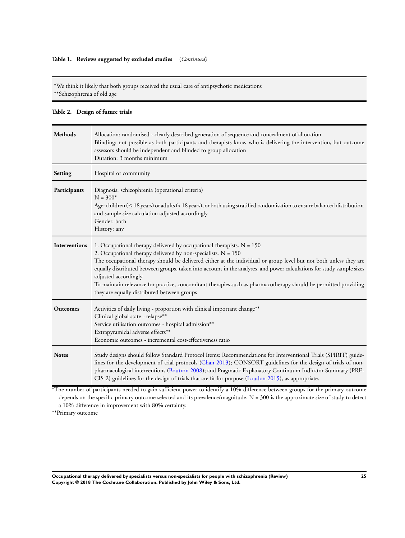## <span id="page-26-0"></span>**Table 1. Reviews suggested by excluded studies** (*Continued)*

\*We think it likely that both groups received the usual care of antipsychotic medications \*\*Schizophrenia of old age

# **Table 2. Design of future trials**

| Methods       | Allocation: randomised - clearly described generation of sequence and concealment of allocation<br>Blinding: not possible as both participants and therapists know who is delivering the intervention, but outcome<br>assessors should be independent and blinded to group allocation<br>Duration: 3 months minimum                                                                                                                                                                                                                                                                |
|---------------|------------------------------------------------------------------------------------------------------------------------------------------------------------------------------------------------------------------------------------------------------------------------------------------------------------------------------------------------------------------------------------------------------------------------------------------------------------------------------------------------------------------------------------------------------------------------------------|
| Setting       | Hospital or community                                                                                                                                                                                                                                                                                                                                                                                                                                                                                                                                                              |
| Participants  | Diagnosis: schizophrenia (operational criteria)<br>$N = 300*$<br>Age: children ( $\leq$ 18 years) or adults (> 18 years), or both using stratified randomisation to ensure balanced distribution<br>and sample size calculation adjusted accordingly<br>Gender: both<br>History: any                                                                                                                                                                                                                                                                                               |
| Interventions | 1. Occupational therapy delivered by occupational therapists. $N = 150$<br>2. Occupational therapy delivered by non-specialists. $N = 150$<br>The occupational therapy should be delivered either at the individual or group level but not both unless they are<br>equally distributed between groups, taken into account in the analyses, and power calculations for study sample sizes<br>adjusted accordingly<br>To maintain relevance for practice, concomitant therapies such as pharmacotherapy should be permitted providing<br>they are equally distributed between groups |
| Outcomes      | Activities of daily living - proportion with clinical important change**<br>Clinical global state - relapse**<br>Service utilisation outcomes - hospital admission**<br>Extrapyramidal adverse effects**<br>Economic outcomes - incremental cost-effectiveness ratio                                                                                                                                                                                                                                                                                                               |
| <b>Notes</b>  | Study designs should follow Standard Protocol Items: Recommendations for Interventional Trials (SPIRIT) guide-<br>lines for the development of trial protocols (Chan 2013); CONSORT guidelines for the design of trials of non-<br>pharmacological interventions (Boutron 2008); and Pragmatic Explanatory Continuum Indicator Summary (PRE-<br>CIS-2) guidelines for the design of trials that are fit for purpose (Loudon 2015), as appropriate.                                                                                                                                 |

\*The number of participants needed to gain sufficient power to identify a 10% difference between groups for the primary outcome depends on the specific primary outcome selected and its prevalence/magnitude. N = 300 is the approximate size of study to detect a 10% difference in improvement with 80% certainty.

\*\*Primary outcome